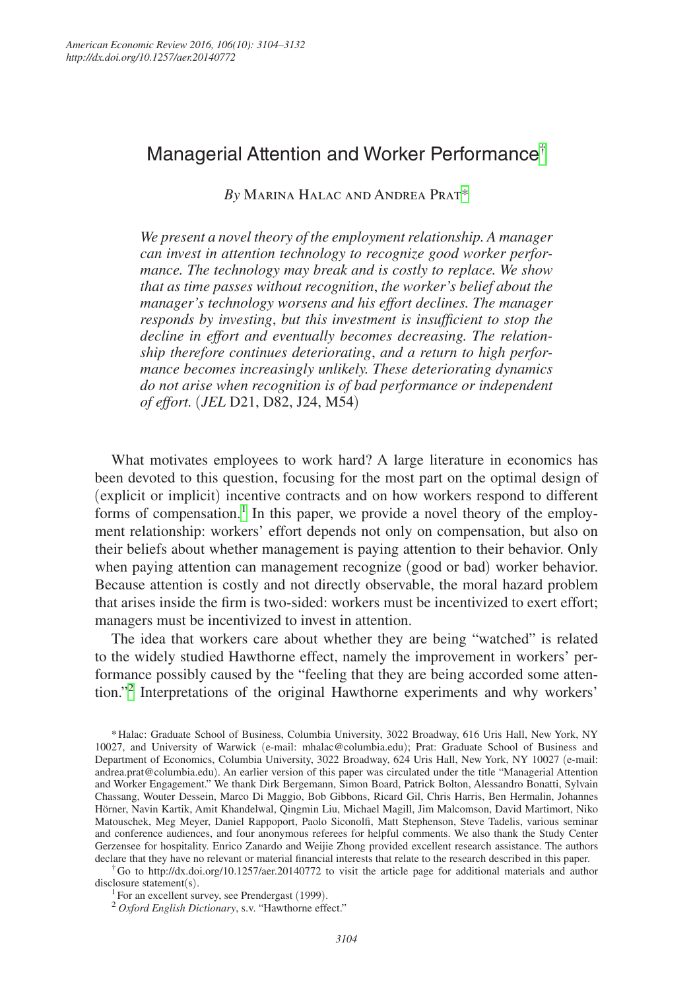# Managerial Attention and Worker Performance[†](#page-0-0)

*By* Marina Halac and Andrea Prat[\\*](#page-0-1)

*We present a novel theory of the employment relationship. A manager can invest in attention technology to recognize good worker performance. The technology may break and is costly to replace. We show that as time passes without recognition*, *the worker's belief about the manager's technology worsens and his effort declines. The manager responds by investing*, *but this investment is insufficient to stop the decline in effort and eventually becomes decreasing. The relationship therefore continues deteriorating*, *and a return to high performance becomes increasingly unlikely. These deteriorating dynamics do not arise when recognition is of bad performance or independent of effort.* (*JEL* D21, D82, J24, M54)

What motivates employees to work hard? A large literature in economics has been devoted to this question, focusing for the most part on the optimal design of (explicit or implicit) incentive contracts and on how workers respond to different forms of compensation.<sup>1</sup> In this paper, we provide a novel theory of the employment relationship: workers' effort depends not only on compensation, but also on their beliefs about whether management is paying attention to their behavior. Only when paying attention can management recognize (good or bad) worker behavior. Because attention is costly and not directly observable, the moral hazard problem that arises inside the firm is two-sided: workers must be incentivized to exert effort; managers must be incentivized to invest in attention.

The idea that workers care about whether they are being "watched" is related to the widely studied Hawthorne effect, namely the improvement in workers' performance possibly caused by the "feeling that they are being accorded some attention."[2](#page-0-3) Interpretations of the original Hawthorne experiments and why workers'

<span id="page-0-1"></span>\*Halac: Graduate School of Business, Columbia University, 3022 Broadway, 616 Uris Hall, New York, NY 10027, and University of Warwick (e-mail: mhalac@columbia.edu); Prat: Graduate School of Business and Department of Economics, Columbia University, 3022 Broadway, 624 Uris Hall, New York, NY 10027 (e-mail: andrea.prat@columbia.edu). An earlier version of this paper was circulated under the title "Managerial Attention and Worker Engagement." We thank Dirk Bergemann, Simon Board, Patrick Bolton, Alessandro Bonatti, Sylvain Chassang, Wouter Dessein, Marco Di Maggio, Bob Gibbons, Ricard Gil, Chris Harris, Ben Hermalin, Johannes Hörner, Navin Kartik, Amit Khandelwal, Qingmin Liu, Michael Magill, Jim Malcomson, David Martimort, Niko Matouschek, Meg Meyer, Daniel Rappoport, Paolo Siconolfi, Matt Stephenson, Steve Tadelis, various seminar and conference audiences, and four anonymous referees for helpful comments. We also thank the Study Center Gerzensee for hospitality. Enrico Zanardo and Weijie Zhong provided excellent research assistance. The authors declare that they have no relevant or material financial interests that relate to the research described in this paper.

<span id="page-0-0"></span>†Go to http://dx.doi.org/10.1257/aer.20140772 to visit the article page for additional materials and author disclosure statement(s).

<span id="page-0-2"></span>1For an excellent survey, see Prendergast (1999). <sup>2</sup>*Oxford English Dictionary*, s.v. "Hawthorne effect."

<span id="page-0-3"></span>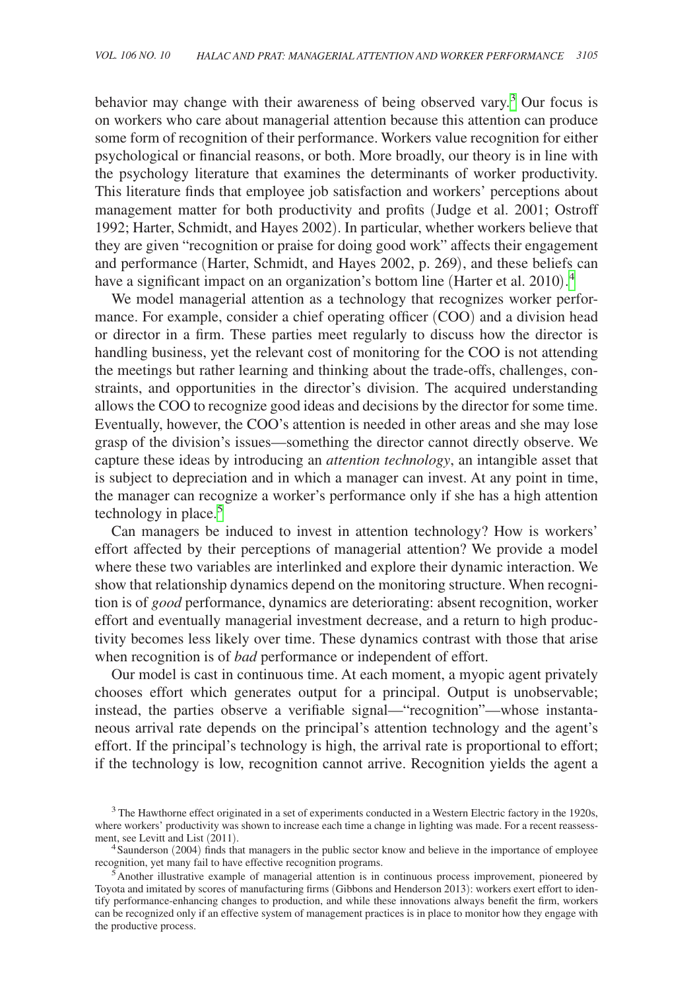behavior may change with their awareness of being observed vary.<sup>[3](#page-1-0)</sup> Our focus is on workers who care about managerial attention because this attention can produce some form of recognition of their performance. Workers value recognition for either psychological or financial reasons, or both. More broadly, our theory is in line with the psychology literature that examines the determinants of worker productivity. This literature finds that employee job satisfaction and workers' perceptions about management matter for both productivity and profits (Judge et al. 2001; Ostroff 1992; Harter, Schmidt, and Hayes 2002). In particular, whether workers believe that they are given "recognition or praise for doing good work" affects their engagement and performance (Harter, Schmidt, and Hayes 2002, p. 269), and these beliefs can have a significant impact on an organization's bottom line (Harter et al. 2010).<sup>[4](#page-1-1)</sup>

We model managerial attention as a technology that recognizes worker performance. For example, consider a chief operating officer (COO) and a division head or director in a firm. These parties meet regularly to discuss how the director is handling business, yet the relevant cost of monitoring for the COO is not attending the meetings but rather learning and thinking about the trade-offs, challenges, constraints, and opportunities in the director's division. The acquired understanding allows the COO to recognize good ideas and decisions by the director for some time. Eventually, however, the COO's attention is needed in other areas and she may lose grasp of the division's issues—something the director cannot directly observe. We capture these ideas by introducing an *attention technology*, an intangible asset that is subject to depreciation and in which a manager can invest. At any point in time, the manager can recognize a worker's performance only if she has a high attention technology in place.<sup>[5](#page-1-2)</sup>

Can managers be induced to invest in attention technology? How is workers' effort affected by their perceptions of managerial attention? We provide a model where these two variables are interlinked and explore their dynamic interaction. We show that relationship dynamics depend on the monitoring structure. When recognition is of *good* performance, dynamics are deteriorating: absent recognition, worker effort and eventually managerial investment decrease, and a return to high productivity becomes less likely over time. These dynamics contrast with those that arise when recognition is of *bad* performance or independent of effort.

Our model is cast in continuous time. At each moment, a myopic agent privately chooses effort which generates output for a principal. Output is unobservable; instead, the parties observe a verifiable signal—"recognition"—whose instantaneous arrival rate depends on the principal's attention technology and the agent's effort. If the principal's technology is high, the arrival rate is proportional to effort; if the technology is low, recognition cannot arrive. Recognition yields the agent a

<span id="page-1-0"></span><sup>&</sup>lt;sup>3</sup> The Hawthorne effect originated in a set of experiments conducted in a Western Electric factory in the 1920s, where workers' productivity was shown to increase each time a change in lighting was made. For a recent reassess-

<span id="page-1-1"></span>ment, see Levitt and List (2011).<br><sup>4</sup>Saunderson (2004) finds that managers in the public sector know and believe in the importance of employee recognition, yet many fail to have effective recognition programs.

<span id="page-1-2"></span> $5$  Another illustrative example of managerial attention is in continuous process improvement, pioneered by Toyota and imitated by scores of manufacturing firms (Gibbons and Henderson 2013): workers exert effort to identify performance-enhancing changes to production, and while these innovations always benefit the firm, workers can be recognized only if an effective system of management practices is in place to monitor how they engage with the productive process.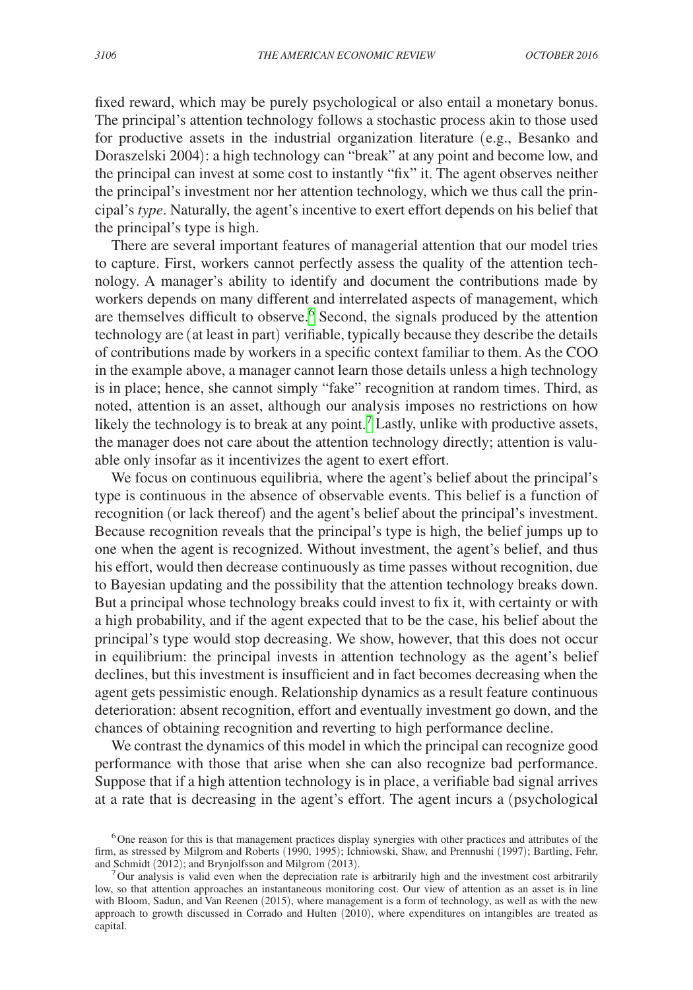fixed reward, which may be purely psychological or also entail a monetary bonus. The principal's attention technology follows a stochastic process akin to those used for productive assets in the industrial organization literature (e.g., Besanko and Doraszelski 2004): a high technology can "break" at any point and become low, and the principal can invest at some cost to instantly "fix" it. The agent observes neither the principal's investment nor her attention technology, which we thus call the principal's *type*. Naturally, the agent's incentive to exert effort depends on his belief that the principal's type is high.

There are several important features of managerial attention that our model tries to capture. First, workers cannot perfectly assess the quality of the attention technology. A manager's ability to identify and document the contributions made by workers depends on many different and interrelated aspects of management, which are themselves difficult to observe.<sup>6</sup> Second, the signals produced by the attention technology are (at least in part) verifiable, typically because they describe the details of contributions made by workers in a specific context familiar to them. As the COO in the example above, a manager cannot learn those details unless a high technology is in place; hence, she cannot simply "fake" recognition at random times. Third, as noted, attention is an asset, although our analysis imposes no restrictions on how likely the technology is to break at any point.<sup>7</sup> Lastly, unlike with productive assets, the manager does not care about the attention technology directly; attention is valuable only insofar as it incentivizes the agent to exert effort.

We focus on continuous equilibria, where the agent's belief about the principal's type is continuous in the absence of observable events. This belief is a function of recognition (or lack thereof) and the agent's belief about the principal's investment. Because recognition reveals that the principal's type is high, the belief jumps up to one when the agent is recognized. Without investment, the agent's belief, and thus his effort, would then decrease continuously as time passes without recognition, due to Bayesian updating and the possibility that the attention technology breaks down. But a principal whose technology breaks could invest to fix it, with certainty or with a high probability, and if the agent expected that to be the case, his belief about the principal's type would stop decreasing. We show, however, that this does not occur in equilibrium: the principal invests in attention technology as the agent's belief declines, but this investment is insufficient and in fact becomes decreasing when the agent gets pessimistic enough. Relationship dynamics as a result feature continuous deterioration: absent recognition, effort and eventually investment go down, and the chances of obtaining recognition and reverting to high performance decline.

We contrast the dynamics of this model in which the principal can recognize good performance with those that arise when she can also recognize bad performance. Suppose that if a high attention technology is in place, a verifiable bad signal arrives at a rate that is decreasing in the agent's effort. The agent incurs a (psychological

<span id="page-2-0"></span><sup>6</sup>One reason for this is that management practices display synergies with other practices and attributes of the firm, as stressed by Milgrom and Roberts (1990, 1995); Ichniowski, Shaw, and Prennushi (1997); Bartling, Fehr, and Schmidt (2012); and Brynjolfsson and Milgrom (2013).

<span id="page-2-1"></span> $7$ Our analysis is valid even when the depreciation rate is arbitrarily high and the investment cost arbitrarily low, so that attention approaches an instantaneous monitoring cost. Our view of attention as an asset is in line with Bloom, Sadun, and Van Reenen (2015), where management is a form of technology, as well as with the new approach to growth discussed in Corrado and Hulten (2010), where expenditures on intangibles are treated as capital.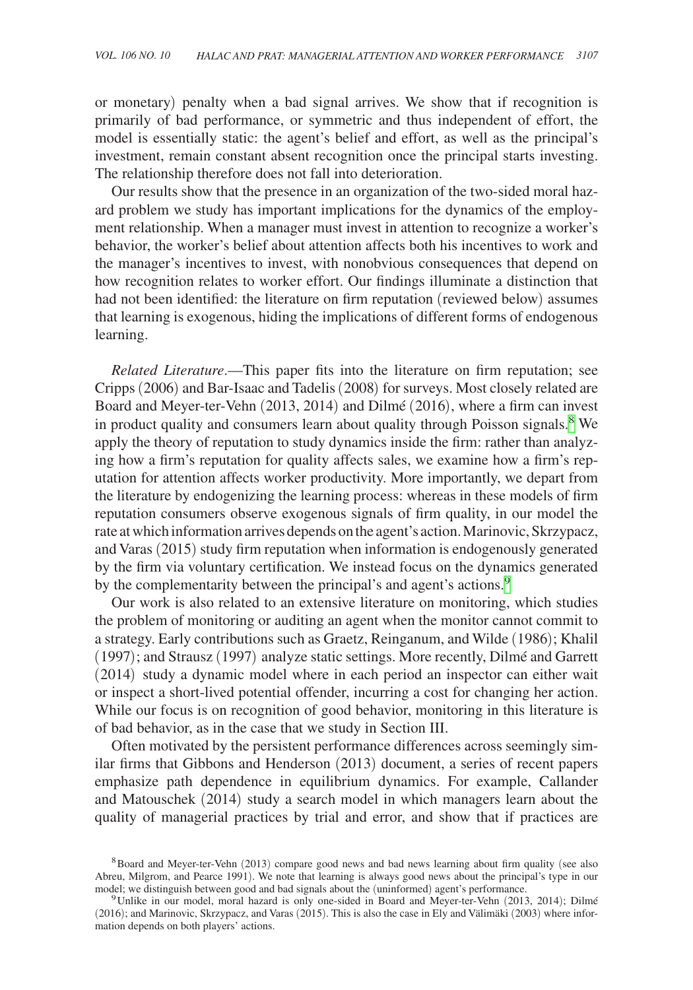or monetary) penalty when a bad signal arrives. We show that if recognition is primarily of bad performance, or symmetric and thus independent of effort, the model is essentially static: the agent's belief and effort, as well as the principal's investment, remain constant absent recognition once the principal starts investing. The relationship therefore does not fall into deterioration.

Our results show that the presence in an organization of the two-sided moral hazard problem we study has important implications for the dynamics of the employment relationship. When a manager must invest in attention to recognize a worker's behavior, the worker's belief about attention affects both his incentives to work and the manager's incentives to invest, with nonobvious consequences that depend on how recognition relates to worker effort. Our findings illuminate a distinction that had not been identified: the literature on firm reputation (reviewed below) assumes that learning is exogenous, hiding the implications of different forms of endogenous learning.

*Related Literature*.—This paper fits into the literature on firm reputation; see Cripps (2006) and Bar-Isaac and Tadelis (2008) for surveys. Most closely related are Board and Meyer-ter-Vehn (2013, 2014) and Dilmé (2016), where a firm can invest in product quality and consumers learn about quality through Poisson signals.<sup>[8](#page-3-0)</sup> We apply the theory of reputation to study dynamics inside the firm: rather than analyzing how a firm's reputation for quality affects sales, we examine how a firm's reputation for attention affects worker productivity. More importantly, we depart from the literature by endogenizing the learning process: whereas in these models of firm reputation consumers observe exogenous signals of firm quality, in our model the rate at which information arrives depends on the agent's action. Marinovic, Skrzypacz, and Varas (2015) study firm reputation when information is endogenously generated by the firm via voluntary certification. We instead focus on the dynamics generated by the complementarity between the principal's and agent's actions.<sup>[9](#page-3-1)</sup>

Our work is also related to an extensive literature on monitoring, which studies the problem of monitoring or auditing an agent when the monitor cannot commit to a strategy. Early contributions such as Graetz, Reinganum, and Wilde (1986); Khalil (1997); and Strausz (1997) analyze static settings. More recently, Dilmé and Garrett (2014) study a dynamic model where in each period an inspector can either wait or inspect a short-lived potential offender, incurring a cost for changing her action. While our focus is on recognition of good behavior, monitoring in this literature is of bad behavior, as in the case that we study in Section III.

Often motivated by the persistent performance differences across seemingly similar firms that Gibbons and Henderson (2013) document, a series of recent papers emphasize path dependence in equilibrium dynamics. For example, Callander and Matouschek (2014) study a search model in which managers learn about the quality of managerial practices by trial and error, and show that if practices are

<span id="page-3-0"></span><sup>8</sup>Board and Meyer-ter-Vehn (2013) compare good news and bad news learning about firm quality (see also Abreu, Milgrom, and Pearce 1991). We note that learning is always good news about the principal's type in our model; we distinguish between good and bad signals about the (uninformed) agent's performance.

<span id="page-3-1"></span><sup>&</sup>lt;sup>9</sup> Unlike in our model, moral hazard is only one-sided in Board and Meyer-ter-Vehn (2013, 2014); Dilmé (2016); and Marinovic, Skrzypacz, and Varas (2015). This is also the case in Ely and Välimäki (2003) where information depends on both players' actions.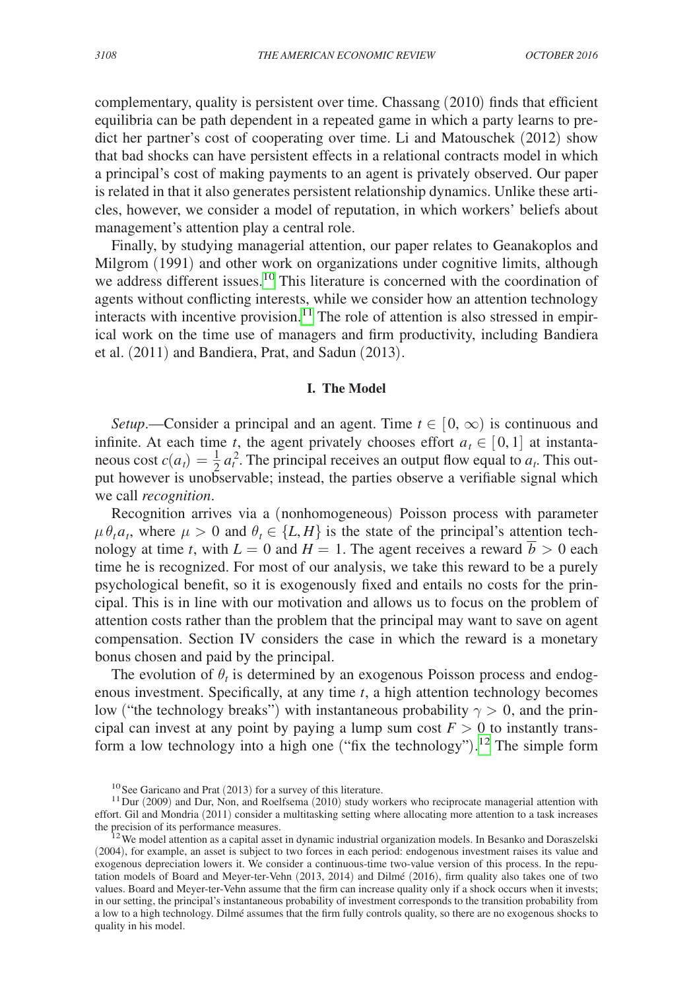complementary, quality is persistent over time. Chassang (2010) finds that efficient equilibria can be path dependent in a repeated game in which a party learns to predict her partner's cost of cooperating over time. Li and Matouschek (2012) show that bad shocks can have persistent effects in a relational contracts model in which a principal's cost of making payments to an agent is privately observed. Our paper is related in that it also generates persistent relationship dynamics. Unlike these articles, however, we consider a model of reputation, in which workers' beliefs about management's attention play a central role.

Finally, by studying managerial attention, our paper relates to Geanakoplos and Milgrom (1991) and other work on organizations under cognitive limits, although we address different issues.<sup>10</sup> This literature is concerned with the coordination of agents without conflicting interests, while we consider how an attention technology interacts with incentive provision.<sup>11</sup> The role of attention is also stressed in empirical work on the time use of managers and firm productivity, including Bandiera et al. (2011) and Bandiera, Prat, and Sadun (2013).

#### **I. The Model**

*Setup*.—Consider a principal and an agent. Time  $t \in [0, \infty)$  is continuous and infinite. At each time *t*, the agent privately chooses effort  $a_t \in [0,1]$  at instantaneous cost  $c(a_t) = \frac{1}{2} a_t^2$ . The principal receives an output flow equal to  $a_t$ . This output however is unobservable; instead, the parties observe a verifiable signal which we call *recognition*.

Recognition arrives via a (nonhomogeneous) Poisson process with parameter  $\mu \theta_t a_t$ , where  $\mu > 0$  and  $\theta_t \in \{L, H\}$  is the state of the principal's attention technology at time *t*, with  $L = 0$  and  $H = 1$ . The agent receives a reward  $\overline{b} > 0$  each time he is recognized. For most of our analysis, we take this reward to be a purely psychological benefit, so it is exogenously fixed and entails no costs for the principal. This is in line with our motivation and allows us to focus on the problem of attention costs rather than the problem that the principal may want to save on agent compensation. Section IV considers the case in which the reward is a monetary bonus chosen and paid by the principal.

The evolution of  $\theta_t$  is determined by an exogenous Poisson process and endogenous investment. Specifically, at any time *t*, a high attention technology becomes low ("the technology breaks") with instantaneous probability  $\gamma > 0$ , and the principal can invest at any point by paying a lump sum cost  $F > 0$  to instantly transform a low technology into a high one ("fix the technology"). [12](#page-4-2) The simple form

<span id="page-4-1"></span><span id="page-4-0"></span>

<sup>&</sup>lt;sup>10</sup>See Garicano and Prat (2013) for a survey of this literature.<br><sup>11</sup>Dur (2009) and Dur, Non, and Roelfsema (2010) study workers who reciprocate managerial attention with effort. Gil and Mondria (2011) consider a multitasking setting where allocating more attention to a task increases the precision of its performance measures.

<span id="page-4-2"></span> $12$  We model attention as a capital asset in dynamic industrial organization models. In Besanko and Doraszelski (2004), for example, an asset is subject to two forces in each period: endogenous investment raises its value and exogenous depreciation lowers it. We consider a continuous-time two-value version of this process. In the reputation models of Board and Meyer-ter-Vehn (2013, 2014) and Dilmé (2016), firm quality also takes one of two values. Board and Meyer-ter-Vehn assume that the firm can increase quality only if a shock occurs when it invests; in our setting, the principal's instantaneous probability of investment corresponds to the transition probability from a low to a high technology. Dilmé assumes that the firm fully controls quality, so there are no exogenous shocks to quality in his model.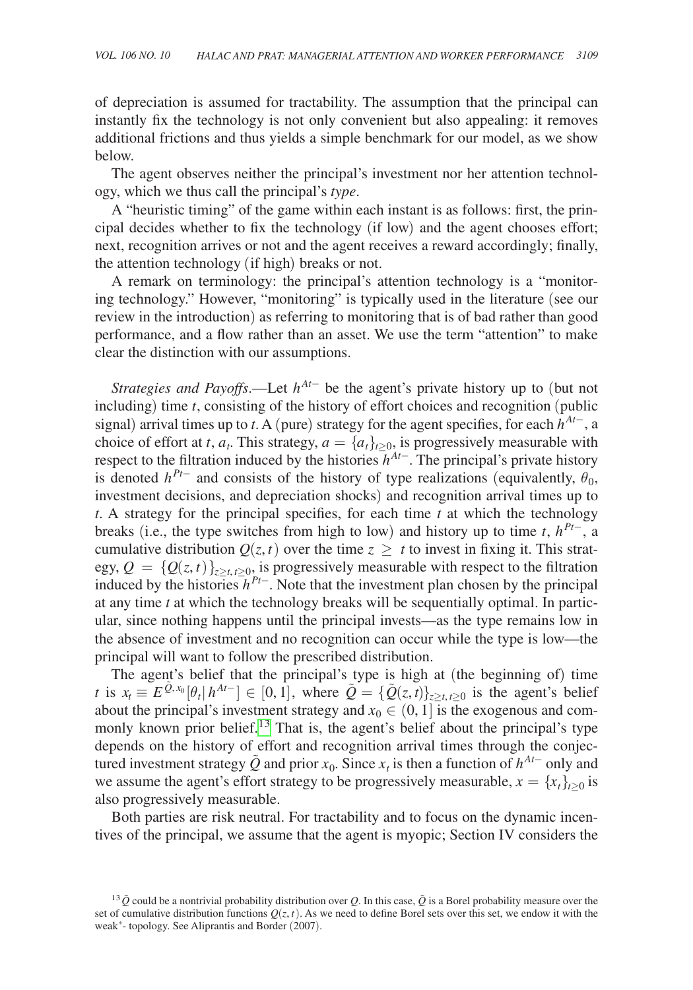of depreciation is assumed for tractability. The assumption that the principal can instantly fix the technology is not only convenient but also appealing: it removes additional frictions and thus yields a simple benchmark for our model, as we show below.

The agent observes neither the principal's investment nor her attention technology, which we thus call the principal's *type*.

A "heuristic timing" of the game within each instant is as follows: first, the principal decides whether to fix the technology (if low) and the agent chooses effort; next, recognition arrives or not and the agent receives a reward accordingly; finally, the attention technology (if high) breaks or not.

A remark on terminology: the principal's attention technology is a "monitoring technology." However, "monitoring" is typically used in the literature (see our review in the introduction) as referring to monitoring that is of bad rather than good performance, and a flow rather than an asset. We use the term "attention" to make clear the distinction with our assumptions.

*Strategies and Payoffs*.—Let *hAt*− be the agent's private history up to (but not including) time *t*, consisting of the history of effort choices and recognition (public signal) arrival times up to *t*. A (pure) strategy for the agent specifies, for each *hAt*−, a choice of effort at *t*,  $a_t$ . This strategy,  $a = \{a_t\}_{t \geq 0}$ , is progressively measurable with respect to the filtration induced by the histories *hAt*−. The principal's private history is denoted  $h^{Pt-}$  and consists of the history of type realizations (equivalently,  $\theta_0$ , investment decisions, and depreciation shocks) and recognition arrival times up to  $t$ . A strategy for the principal specifies, for each time  $t$  at which the technology breaks (i.e., the type switches from high to low) and history up to time  $t$ ,  $h^{Pt-}$ , a cumulative distribution  $Q(z, t)$  over the time  $z \geq t$  to invest in fixing it. This strategy,  $Q = \{Q(z, t)\}_{z \geq t, t \geq 0}$ , is progressively measurable with respect to the filtration induced by the histories  $h^{Pt-}$ . Note that the investment plan chosen by the principal at any time *t* at which the technology breaks will be sequentially optimal. In particular, since nothing happens until the principal invests—as the type remains low in the absence of investment and no recognition can occur while the type is low—the principal will want to follow the prescribed distribution.

The agent's belief that the principal's type is high at (the beginning of) time *t* is  $x_t \equiv E^{\tilde{Q}, x_0} [\theta_t | h^{At-}] \in [0, 1]$ , where  $\tilde{Q} = {\{\tilde{Q}(z, t)\}}_{z \ge t, t \ge 0}$  is the agent's belief about the principal's investment strategy and  $x_0 \in (0, 1]$  is the exogenous and commonly known prior belief.<sup>13</sup> That is, the agent's belief about the principal's type depends on the history of effort and recognition arrival times through the conjectured investment strategy  $\tilde{Q}$  and prior  $x_0$ . Since  $x_t$  is then a function of  $h^{At-}$  only and we assume the agent's effort strategy to be progressively measurable,  $x = \{x_t\}_{t>0}$  is also progressively measurable.

Both parties are risk neutral. For tractability and to focus on the dynamic incentives of the principal, we assume that the agent is myopic; Section IV considers the

<span id="page-5-0"></span><sup>&</sup>lt;sup>13</sup> $\tilde{Q}$  could be a nontrivial probability distribution over *Q*. In this case,  $\tilde{Q}$  is a Borel probability measure over the set of cumulative distribution functions  $Q(z, t)$ . As we need to define Borel sets over this set, we endow it with the weak<sup>∗</sup> - topology. See Aliprantis and Border (2007).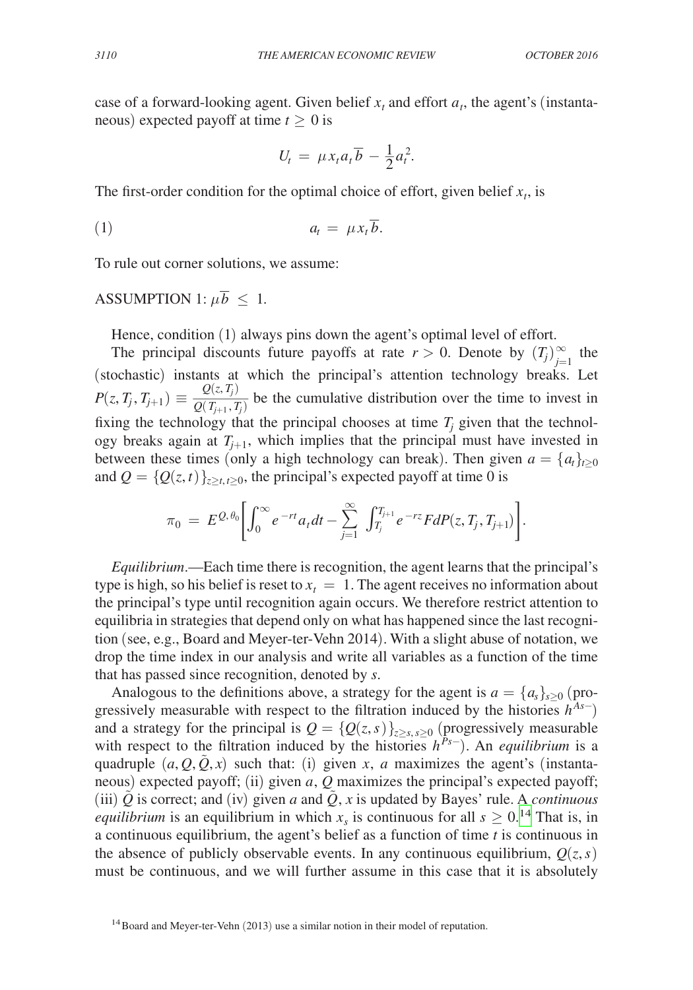case of a forward-looking agent. Given belief  $x_t$  and effort  $a_t$ , the agent's (instantaneous) expected payoff at time  $t \geq 0$  is

$$
U_t = \mu x_t a_t \overline{b} - \frac{1}{2} a_t^2.
$$

The first-order condition for the optimal choice of effort, given belief  $x_t$ , is

$$
(1) \t a_t = \mu x_t \overline{b}.
$$

To rule out corner solutions, we assume:

# ASSUMPTION 1:  $\mu \overline{b} \leq 1$ .

Hence, condition (1) always pins down the agent's optimal level of effort.

The principal discounts future payoffs at rate  $r > 0$ . Denote by  $(T_j)_{j=1}^{\infty}$  the (stochastic) instants at which the principal's attention technology breaks. Let The principal discounts at the state of the state of  $P(z, T_j, T_{j+1}) \equiv \frac{Q(z, T_j)}{Q(T_{j+1}, T_j)}$  fixing the technology that )  $\frac{Q(x, t_j)}{Q(T_{j+1}, T_j)}$  be the cumulative distribution over the time to invest in fixing the technology that the principal chooses at time  $T_j$  given that the technology breaks again at  $T_{j+1}$ , which implies that the principal must have invested in between these times (only a high technology can break). Then given  $a = \{a_t\}_{t>0}$ and  $Q = \{Q(z, t)\}_{z \geq t, t \geq 0}$ , the principal's expected payoff at time 0 is

$$
\pi_0 = E^{Q,\theta_0} \bigg[ \int_0^\infty e^{-rt} a_t dt - \sum_{j=1}^\infty \int_{T_j}^{T_{j+1}} e^{-rz} F dP(z,T_j,T_{j+1}) \bigg].
$$

*Equilibrium*.—Each time there is recognition, the agent learns that the principal's type is high, so his belief is reset to  $x_t = 1$ . The agent receives no information about the principal's type until recognition again occurs. We therefore restrict attention to equilibria in strategies that depend only on what has happened since the last recognition (see, e.g., Board and Meyer-ter-Vehn 2014). With a slight abuse of notation, we drop the time index in our analysis and write all variables as a function of the time that has passed since recognition, denoted by *s*.

Analogous to the definitions above, a strategy for the agent is  $a = \{a_s\}_{s>0}$  (progressively measurable with respect to the filtration induced by the histories  $h^{\hat{A}s-}$ ) and a strategy for the principal is  $Q = \{Q(z, s)\}_{z \geq s, s \geq 0}$  (progressively measurable with respect to the filtration induced by the histories *hPs*−). An *equilibrium* is a quadruple  $(a, Q, Q, x)$  such that: (i) given *x*, *a* maximizes the agent's (instantaneous) expected payoff; (ii) given *a*, *Q* maximizes the principal's expected payoff; (iii)  $\hat{Q}$  is correct; and (iv) given *a* and  $\hat{Q}$ , *x* is updated by Bayes' rule. A *continuous equilibrium* is an equilibrium in which  $x_s$  is continuous for all  $s \ge 0$ .<sup>[14](#page-6-0)</sup> That is, in a continuous equilibrium, the agent's belief as a function of time *t* is continuous in the absence of publicly observable events. In any continuous equilibrium,  $Q(z, s)$ must be continuous, and we will further assume in this case that it is absolutely

<span id="page-6-0"></span><sup>&</sup>lt;sup>14</sup> Board and Meyer-ter-Vehn (2013) use a similar notion in their model of reputation.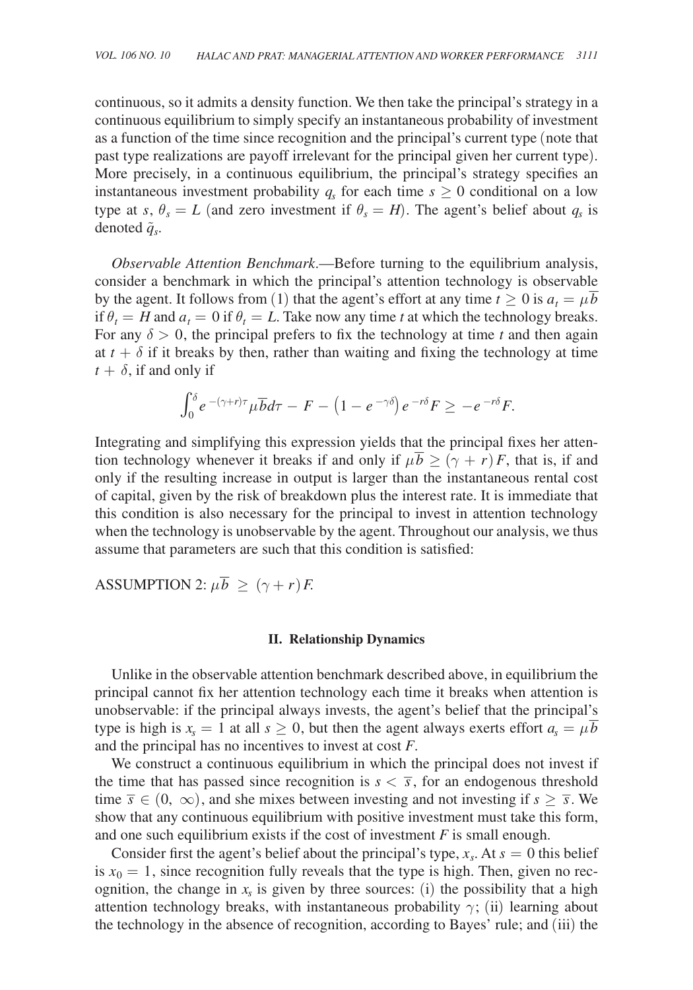continuous, so it admits a density function. We then take the principal's strategy in a continuous equilibrium to simply specify an instantaneous probability of investment as a function of the time since recognition and the principal's current type (note that past type realizations are payoff irrelevant for the principal given her current type). More precisely, in a continuous equilibrium, the principal's strategy specifies an instantaneous investment probability  $q_s$  for each time  $s \geq 0$  conditional on a low type at *s*,  $\theta_s = L$  (and zero investment if  $\theta_s = H$ ). The agent's belief about  $q_s$  is denoted *q*̃ *s*.

*Observable Attention Benchmark*.—Before turning to the equilibrium analysis, consider a benchmark in which the principal's attention technology is observable by the agent. It follows from (1) that the agent's effort at any time  $t \ge 0$  is  $a_t = \mu \overline{b}$ if  $\theta_t = H$  and  $a_t = 0$  if  $\theta_t = L$ . Take now any time *t* at which the technology breaks. For any  $\delta > 0$ , the principal prefers to fix the technology at time *t* and then again at  $t + \delta$  if it breaks by then, rather than waiting and fixing the technology at time  $t + \delta$ , if and only if

$$
\int_0^\delta e^{\,-(\gamma+r)\tau} \mu \overline{b} d\tau - F - \left(1-e^{\,-\gamma\delta}\right) e^{\,-r\delta} F \ge - e^{\,-r\delta} F.
$$

Integrating and simplifying this expression yields that the principal fixes her attention technology whenever it breaks if and only if  $\mu \overline{b} \ge (\gamma + r)F$ , that is, if and only if the resulting increase in output is larger than the instantaneous rental cost of capital, given by the risk of breakdown plus the interest rate. It is immediate that this condition is also necessary for the principal to invest in attention technology when the technology is unobservable by the agent. Throughout our analysis, we thus assume that parameters are such that this condition is satisfied:

ASSUMPTION 2:  $\mu \overline{b} \ge (\gamma + r)E$ .

#### **II. Relationship Dynamics**

Unlike in the observable attention benchmark described above, in equilibrium the principal cannot fix her attention technology each time it breaks when attention is unobservable: if the principal always invests, the agent's belief that the principal's type is high is  $x_s = 1$  at all  $s \geq 0$ , but then the agent always exerts effort  $a_s = \mu \overline{b}$ and the principal has no incentives to invest at cost *F*.

We construct a continuous equilibrium in which the principal does not invest if the time that has passed since recognition is  $s < \overline{s}$ , for an endogenous threshold time  $\overline{s} \in (0, \infty)$ , and she mixes between investing and not investing if  $s \geq \overline{s}$ . We show that any continuous equilibrium with positive investment must take this form, and one such equilibrium exists if the cost of investment *F* is small enough.

Consider first the agent's belief about the principal's type,  $x_s$ . At  $s = 0$  this belief is  $x_0 = 1$ , since recognition fully reveals that the type is high. Then, given no recognition, the change in  $x<sub>s</sub>$  is given by three sources: (i) the possibility that a high attention technology breaks, with instantaneous probability  $\gamma$ ; (ii) learning about the technology in the absence of recognition, according to Bayes' rule; and (iii) the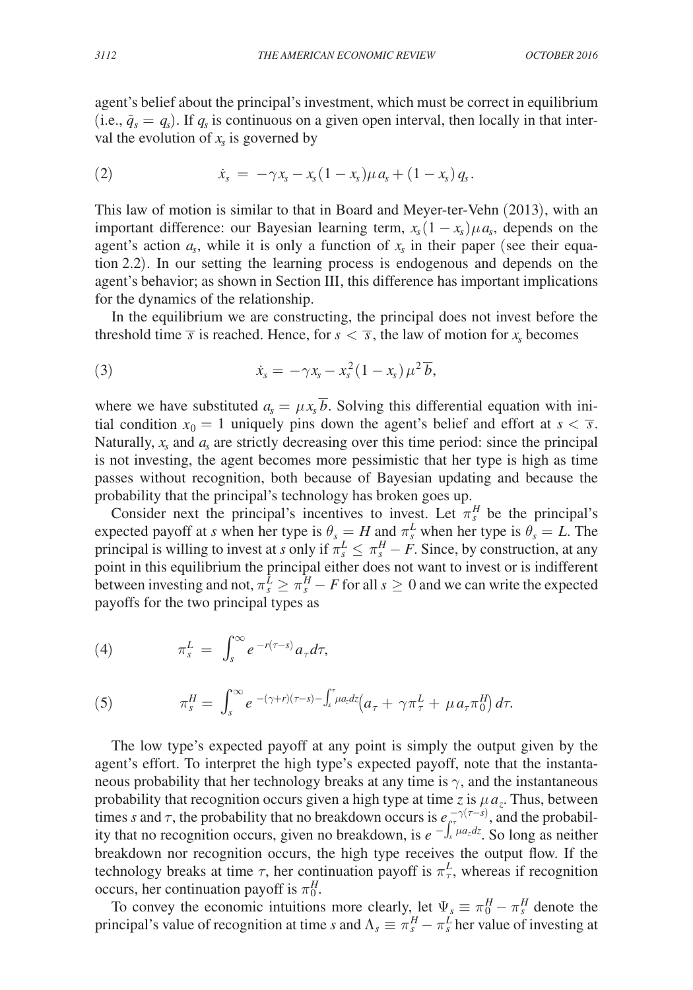agent's belief about the principal's investment, which must be correct in equilibrium (i.e.,  $\tilde{q}_s = q_s$ ). If  $q_s$  is continuous on a given open interval, then locally in that interval the evolution of  $x<sub>s</sub>$  is governed by

(2) 
$$
\dot{x}_s = -\gamma x_s - x_s (1 - x_s) \mu a_s + (1 - x_s) a_s.
$$

This law of motion is similar to that in Board and Meyer-ter-Vehn (2013), with an important difference: our Bayesian learning term,  $x_s(1 - x_s)\mu a_s$ , depends on the agent's action  $a_s$ , while it is only a function of  $x_s$  in their paper (see their equation 2.2). In our setting the learning process is endogenous and depends on the agent's behavior; as shown in Section III, this difference has important implications for the dynamics of the relationship.

In the equilibrium we are constructing, the principal does not invest before the threshold time  $\bar{s}$  is reached. Hence, for  $s < \bar{s}$ , the law of motion for  $x_s$  becomes

(3) 
$$
\dot{x}_s = -\gamma x_s - x_s^2 (1 - x_s) \mu^2 \overline{b},
$$

where we have substituted  $a_s = \mu x_s \overline{b}$ . Solving this differential equation with initial condition  $x_0 = 1$  uniquely pins down the agent's belief and effort at  $s < \overline{s}$ . Naturally,  $x_s$  and  $a_s$  are strictly decreasing over this time period: since the principal is not investing, the agent becomes more pessimistic that her type is high as time passes without recognition, both because of Bayesian updating and because the probability that the principal's technology has broken goes up.

Consider next the principal's incentives to invest. Let  $\pi_s^H$  be the principal's expected payoff at *s* when her type is  $\theta_s = H$  and  $\pi_s^L$  when her type is  $\theta_s = L$ . The principal is willing to invest at *s* only if  $\pi_s^L \leq \pi_s^H - F$ . Since, by construction, at any point in this equilibrium the principal either does not want to invest or is indifferent between investing and not,  $\pi_s^{\overline{L}} \geq \pi_s^{\overline{H}} - F$  for all  $s \geq 0$  and we can write the expected payoffs for the two principal types as

(4) 
$$
\pi_s^L = \int_s^\infty e^{-r(\tau-s)} a_\tau d\tau,
$$

(5) 
$$
\pi_s^H = \int_s^{\infty} e^{-(\gamma+r)(\tau-s) - \int_s^{\tau} \mu a_z dz} \left(a_{\tau} + \gamma \pi_{\tau}^L + \mu a_{\tau} \pi_0^H\right) d\tau.
$$

The low type's expected payoff at any point is simply the output given by the agent's effort. To interpret the high type's expected payoff, note that the instantaneous probability that her technology breaks at any time is  $\gamma$ , and the instantaneous probability that recognition occurs given a high type at time *z* is  $\mu a_z$ . Thus, between times *s* and  $\tau$ , the probability that no breakdown occurs is  $e^{-\gamma(\tau-s)}$ , and the probability that no recognition occurs, given no breakdown, is  $e^{-\int_{s}^{\tau} \mu a_z dz}$ . So long as neither breakdown nor recognition occurs, the high type receives the output flow. If the technology breaks at time  $\tau$ , her continuation payoff is  $\pi^L_\tau$ , whereas if recognition occurs, her continuation payoff is  $\pi_0^H$ .

To convey the economic intuitions more clearly, let  $\Psi_s \equiv \pi_0^H - \pi_s^H$  denote the principal's value of recognition at time *s* and  $\Lambda_s \equiv \pi_s^H - \pi_s^L$  her value of investing at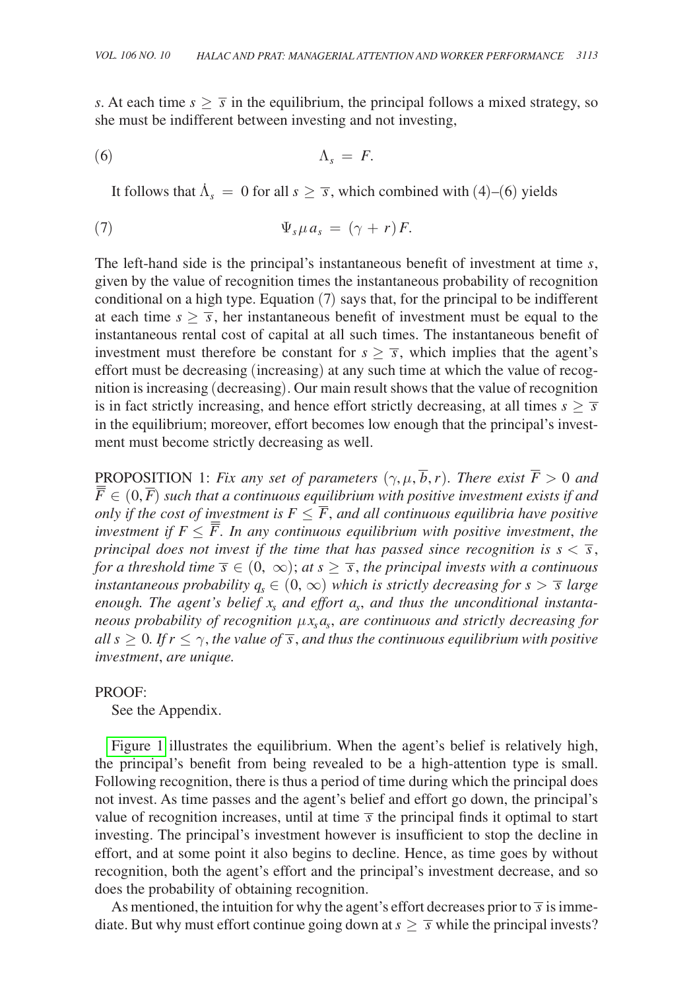*s*. At each time  $s \geq \overline{s}$  in the equilibrium, the principal follows a mixed strategy, so she must be indifferent between investing and not investing,

$$
\Lambda_s = F.
$$

It follows that  $\Lambda_s = 0$  for all  $s \geq \overline{s}$ , which combined with (4)–(6) yields

(7) 
$$
\Psi_s \mu a_s = (\gamma + r) F.
$$

The left-hand side is the principal's instantaneous benefit of investment at time *s*, given by the value of recognition times the instantaneous probability of recognition conditional on a high type. Equation (7) says that, for the principal to be indifferent at each time  $s \geq \overline{s}$ , her instantaneous benefit of investment must be equal to the instantaneous rental cost of capital at all such times. The instantaneous benefit of investment must therefore be constant for  $s \geq \overline{s}$ , which implies that the agent's effort must be decreasing (increasing) at any such time at which the value of recognition is increasing (decreasing). Our main result shows that the value of recognition is in fact strictly increasing, and hence effort strictly decreasing, at all times  $s \geq \bar{s}$ in the equilibrium; moreover, effort becomes low enough that the principal's investment must become strictly decreasing as well.

**PROPOSITION** 1: *Fix any set of parameters*  $(\gamma, \mu, \overline{b}, r)$ *. There exist*  $\overline{F} > 0$  *and*  $\overline{\overline{E}} \leq (0, \overline{F})$  $\overline{\overline{F}}\in(0,\overline{F})$  such that a continuous equilibrium with positive investment exists if and *only if the cost of investment is*  $F \leq \overline{F}$ *, and all continuous equilibria have positive investment if*  $F \leq \overline{F}$ . In any continuous equilibrium with positive investment, the *principal does not invest if the time that has passed since recognition is*  $s < \bar{s}$ *, for a threshold time*  $\overline{s} \in (0, \infty)$ ; *at*  $s \geq \overline{s}$ , *the principal invests with a continuous instantaneous probability*  $q_s \in (0, \infty)$  *which is strictly decreasing for s >*  $\bar{s}$  *large* enough. The agent's belief  $x_s$  and effort  $a_s$ , and thus the unconditional instanta*neous probability of recognition* μ *xs as*, *are continuous and strictly decreasing for all s*  $\geq$  0*. If r*  $\leq \gamma$ *, the value of*  $\overline{s}$ *, and thus the continuous equilibrium with positive investment*, *are unique.*

## PROOF:

See the Appendix.

[Figure 1](#page-10-0) illustrates the equilibrium. When the agent's belief is relatively high, the principal's benefit from being revealed to be a high-attention type is small. Following recognition, there is thus a period of time during which the principal does not invest. As time passes and the agent's belief and effort go down, the principal's value of recognition increases, until at time  $\bar{s}$  the principal finds it optimal to start investing. The principal's investment however is insufficient to stop the decline in effort, and at some point it also begins to decline. Hence, as time goes by without recognition, both the agent's effort and the principal's investment decrease, and so does the probability of obtaining recognition.

As mentioned, the intuition for why the agent's effort decreases prior to  $\bar{s}$  is immediate. But why must effort continue going down at  $s \geq \bar{s}$  while the principal invests?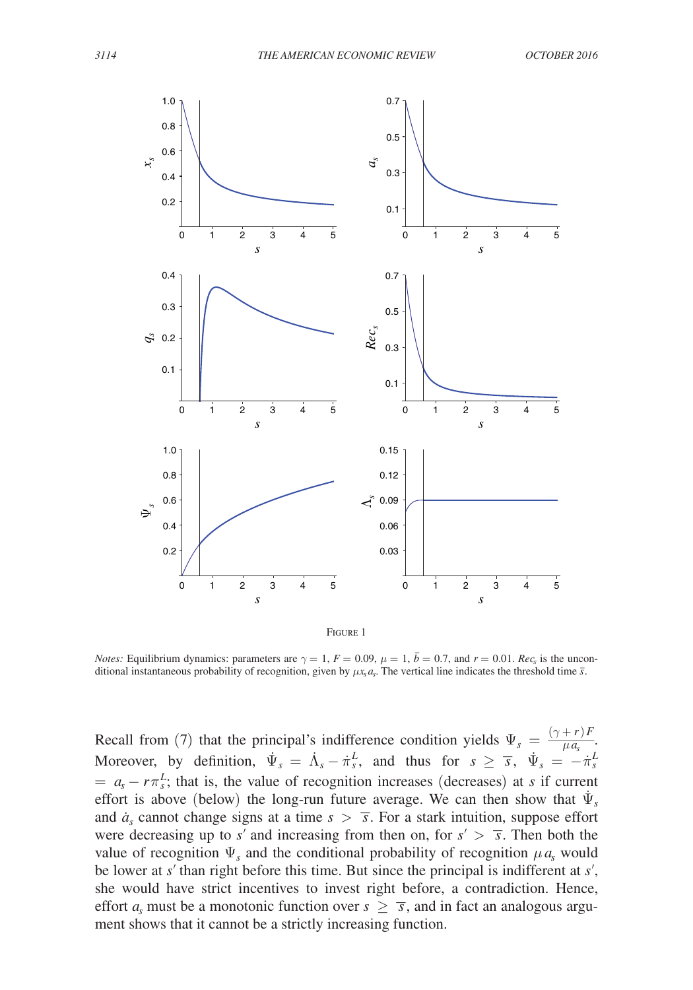<span id="page-10-0"></span>

FIGURE 1

*Notes:* Equilibrium dynamics: parameters are  $\gamma = 1$ ,  $F = 0.09$ ,  $\mu = 1$ ,  $\bar{b} = 0.7$ , and  $r = 0.01$ . *Rec<sub>s</sub>* is the unconditional instantaneous probability of recognition, given by  $\mu x_s a_s$ . The vertical line indicates the threshold time  $\bar{s}$ .

Recall from (7) that the principal's indifference condition yields  $\Psi_s = \frac{(\gamma + r)F}{\mu a_s}$ <br>Moreover, by definition,  $\dot{\Psi}_s = \dot{\Lambda}_s - \dot{\pi}_s^L$ , and thus for  $s \ge \overline{s}$ ,  $\dot{\Psi}_s = -\dot{\pi}_s^L$  $(\gamma + r)F$  $\frac{\tau I}{\mu a_s}$ . Moreover, by definition,  $\dot{\Psi}_s = \dot{\Lambda}_s - \dot{\pi}_s^L$ , and thus for  $s \geq \overline{s}$ ,  $\dot{\Psi}_s = -\dot{\pi}_s^L$  $= a_s - r \pi_s^2$ ; that is, the value of recognition increases (decreases) at *s* if current effort is above (below) the long-run future average. We can then show that  $\Psi_s$ and  $\dot{a}_s$  cannot change signs at a time  $s > \overline{s}$ . For a stark intuition, suppose effort were decreasing up to *s'* and increasing from then on, for  $s' > \overline{s}$ . Then both the value of recognition  $\Psi_s$  and the conditional probability of recognition  $\mu a_s$  would be lower at *s*′ than right before this time. But since the principal is indifferent at *s*′, she would have strict incentives to invest right before, a contradiction. Hence, effort  $a_s$  must be a monotonic function over  $s \geq \overline{s}$ , and in fact an analogous argument shows that it cannot be a strictly increasing function.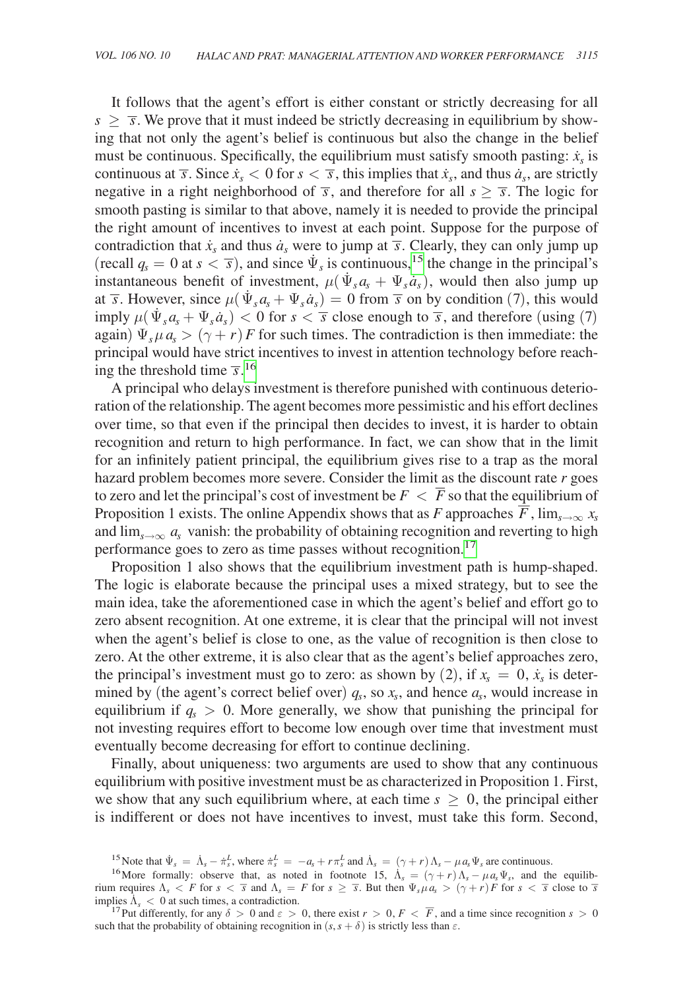It follows that the agent's effort is either constant or strictly decreasing for all  $s \geq \bar{s}$ . We prove that it must indeed be strictly decreasing in equilibrium by showing that not only the agent's belief is continuous but also the change in the belief must be continuous. Specifically, the equilibrium must satisfy smooth pasting:  $\dot{x}_s$  is continuous at  $\overline{s}$ . Since  $\dot{x}_s < 0$  for  $s < \overline{s}$ , this implies that  $\dot{x}_s$ , and thus  $\dot{a}_s$ , are strictly negative in a right neighborhood of  $\overline{s}$ , and therefore for all  $s \geq \overline{s}$ . The logic for smooth pasting is similar to that above, namely it is needed to provide the principal the right amount of incentives to invest at each point. Suppose for the purpose of contradiction that  $\dot{x}_s$  and thus  $\dot{a}_s$  were to jump at  $\overline{s}$ . Clearly, they can only jump up (recall  $q_s = 0$  at  $s < \overline{s}$ ), and since  $\Psi_s$  is continuous,<sup>15</sup> the change in the principal's instantaneous benefit of investment,  $\mu(\dot{\Psi}_s a_s + \Psi_s \dot{a}_s)$ , would then also jump up at  $\overline{s}$ . However, since  $\mu(\Psi_s a_s + \Psi_s a_s) = 0$  from  $\overline{s}$  on by condition (7), this would  $\text{imply } \mu(\dot{\Psi}_s a_s + \Psi_s \dot{a}_s) < 0 \text{ for } s < \bar{s} \text{ close enough to } \bar{s} \text{, and therefore (using (7))}$ again)  $\Psi_s \mu a_s > (\gamma + r)F$  for such times. The contradiction is then immediate: the principal would have strict incentives to invest in attention technology before reaching the threshold time  $\overline{s}$ <sup>[16](#page-11-1)</sup>

A principal who delays investment is therefore punished with continuous deterioration of the relationship. The agent becomes more pessimistic and his effort declines over time, so that even if the principal then decides to invest, it is harder to obtain recognition and return to high performance. In fact, we can show that in the limit for an infinitely patient principal, the equilibrium gives rise to a trap as the moral hazard problem becomes more severe. Consider the limit as the discount rate *r* goes to zero and let the principal's cost of investment be  $F < \overline{F}$  so that the equilibrium of to zero and let the principal's cost of investment be  $F < F$  so that the equilibrium of Proposition 1 exists. The online Appendix shows that as *F* approaches  $\overline{F}$ ,  $\lim_{s\to\infty} x_s$ and  $\lim_{s\to\infty} a_s$  vanish: the probability of obtaining recognition and reverting to high performance goes to zero as time passes without recognition.<sup>[17](#page-11-2)</sup>

Proposition 1 also shows that the equilibrium investment path is hump-shaped. The logic is elaborate because the principal uses a mixed strategy, but to see the main idea, take the aforementioned case in which the agent's belief and effort go to zero absent recognition. At one extreme, it is clear that the principal will not invest when the agent's belief is close to one, as the value of recognition is then close to zero. At the other extreme, it is also clear that as the agent's belief approaches zero, the principal's investment must go to zero: as shown by (2), if  $x_s = 0$ ,  $\dot{x}_s$  is determined by (the agent's correct belief over)  $q_s$ , so  $x_s$ , and hence  $a_s$ , would increase in equilibrium if  $q_s > 0$ . More generally, we show that punishing the principal for not investing requires effort to become low enough over time that investment must eventually become decreasing for effort to continue declining.

Finally, about uniqueness: two arguments are used to show that any continuous equilibrium with positive investment must be as characterized in Proposition 1. First, we show that any such equilibrium where, at each time  $s \geq 0$ , the principal either is indifferent or does not have incentives to invest, must take this form. Second,

<span id="page-11-1"></span><span id="page-11-0"></span><sup>&</sup>lt;sup>15</sup> Note that  $\dot{\Psi}_s = \dot{\Lambda}_s - \dot{\pi}_s^L$ , where  $\dot{\pi}_s^L = -a_s + r \pi_s^L$ 

<sup>&</sup>lt;sup>16</sup> More formally: observe that, as noted in footnote 15,  $\dot{\Lambda}_s = (\gamma + r) \Lambda_s - \mu a_s \Psi_s$ , and the equilibrium requires  $\Lambda_s$  < *F* for  $s$  <  $\overline{s}$  and  $\Lambda_s$  = *F* for  $s \geq \overline{s}$ . But then  $\Psi_s \mu a_s > (\gamma + r)F$  for  $s < \overline{s}$  close to  $\overline{s}$  implies  $\Lambda_s$  < 0 at such times, a contradiction. implies  $\Lambda_s < 0$  at such times, a contradiction.<br><sup>17</sup>Put differently, for any  $\delta > 0$  and  $\varepsilon > 0$ , there exist  $r > 0$ ,  $F < \overline{F}$ , and a time since recognition  $s > 0$ 

<span id="page-11-2"></span>such that the probability of obtaining recognition in  $(s, s + \delta)$  is strictly less than  $\varepsilon$ .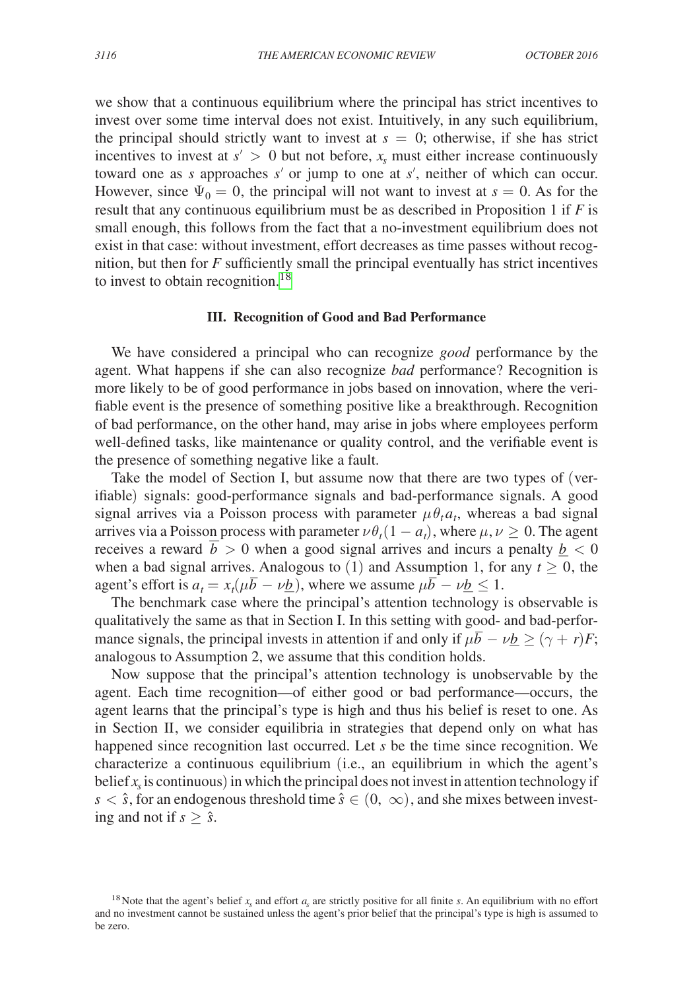we show that a continuous equilibrium where the principal has strict incentives to invest over some time interval does not exist. Intuitively, in any such equilibrium, the principal should strictly want to invest at  $s = 0$ ; otherwise, if she has strict incentives to invest at  $s' > 0$  but not before,  $x_s$  must either increase continuously toward one as *s* approaches *s*′ or jump to one at *s*′, neither of which can occur. However, since  $\Psi_0 = 0$ , the principal will not want to invest at  $s = 0$ . As for the result that any continuous equilibrium must be as described in Proposition 1 if *F* is small enough, this follows from the fact that a no-investment equilibrium does not exist in that case: without investment, effort decreases as time passes without recognition, but then for *F* sufficiently small the principal eventually has strict incentives to invest to obtain recognition.<sup>18</sup>

#### **III. Recognition of Good and Bad Performance**

We have considered a principal who can recognize *good* performance by the agent. What happens if she can also recognize *bad* performance? Recognition is more likely to be of good performance in jobs based on innovation, where the verifiable event is the presence of something positive like a breakthrough. Recognition of bad performance, on the other hand, may arise in jobs where employees perform well-defined tasks, like maintenance or quality control, and the verifiable event is the presence of something negative like a fault.

Take the model of Section I, but assume now that there are two types of (verifiable) signals: good-performance signals and bad-performance signals. A good signal arrives via a Poisson process with parameter  $\mu \theta_t a_t$ , whereas a bad signal arrives via a Poisson process with parameter  $\nu \theta_t (1 - a_t)$ , where  $\mu, \nu \ge 0$ . The agent arrives via a Poisson process with parameter  $\nu \theta_t (1 - a_t)$ , where  $\mu, \nu \ge 0$ . The agent receives a reward  $\bar{b} > 0$  when a good signal arrives and incurs a penalty <u>b</u> < 0 when a bad signal arrives. Analogous to  $(1)$  and Assumption 1, for any  $t \geq 0$ , the agent's effort is  $a_t = x_t(\mu \overline{b} - \nu \underline{b})$ , where we assume  $\mu \overline{b} - \nu \underline{b} \le 1$ .

The benchmark case where the principal's attention technology is observable is qualitatively the same as that in Section I. In this setting with good- and bad-performance signals, the principal invests in attention if and only if  $\mu \overline{b} - \nu \underline{b} \ge (\gamma + r)F$ ; analogous to Assumption 2, we assume that this condition holds.

Now suppose that the principal's attention technology is unobservable by the agent. Each time recognition—of either good or bad performance—occurs, the agent learns that the principal's type is high and thus his belief is reset to one. As in Section II, we consider equilibria in strategies that depend only on what has happened since recognition last occurred. Let *s* be the time since recognition. We characterize a continuous equilibrium (i.e., an equilibrium in which the agent's belief  $x<sub>s</sub>$  is continuous) in which the principal does not invest in attention technology if *s*  $\le$  *s*, for an endogenous threshold time  $\hat{s} \in (0, \infty)$ , and she mixes between investing and not if  $s \geq \hat{s}$ .

<span id="page-12-0"></span><sup>&</sup>lt;sup>18</sup>Note that the agent's belief  $x<sub>s</sub>$  and effort  $a<sub>s</sub>$  are strictly positive for all finite *s*. An equilibrium with no effort and no investment cannot be sustained unless the agent's prior belief that the principal's type is high is assumed to be zero.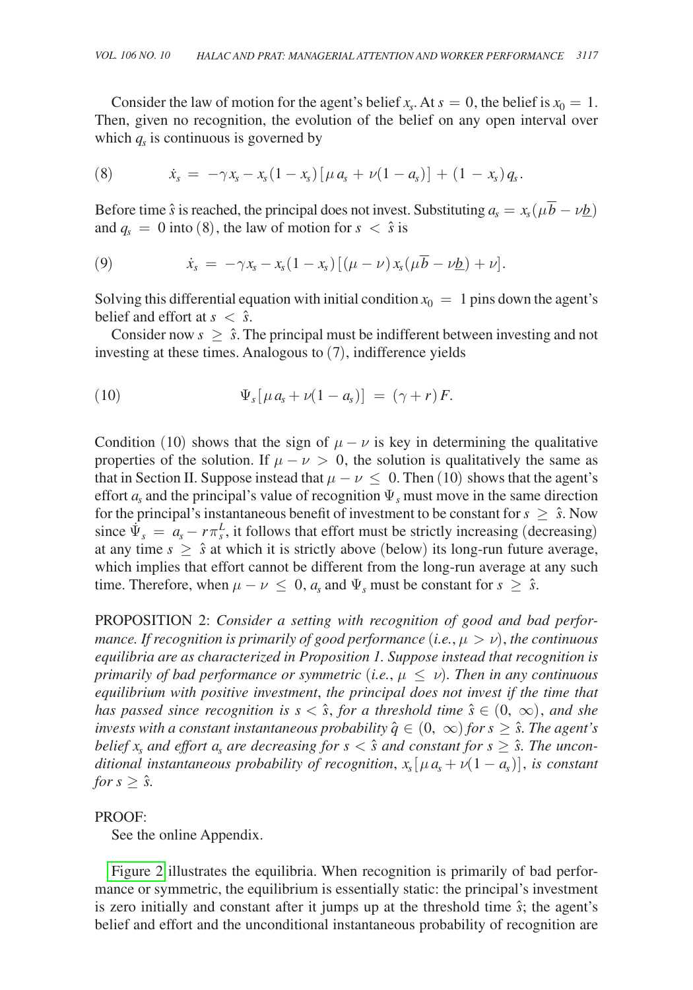Consider the law of motion for the agent's belief  $x_s$ . At  $s = 0$ , the belief is  $x_0 = 1$ . Then, given no recognition, the evolution of the belief on any open interval over which *qs* is continuous is governed by

(8) 
$$
\dot{x}_s = -\gamma x_s - x_s (1 - x_s) [\mu a_s + \nu (1 - a_s)] + (1 - x_s) q_s.
$$

Before time  $\hat{s}$  is reached, the principal does not invest. Substituting  $a_s = x_s(\mu \overline{b} - \nu \underline{b})$ and  $q_s = 0$  into (8), the law of motion for  $s < \hat{s}$  is

(9) 
$$
\dot{x}_s = -\gamma x_s - x_s(1-x_s) \left[ (\mu - \nu) x_s (\mu \overline{b} - \nu \underline{b}) + \nu \right].
$$

Solving this differential equation with initial condition  $x_0 = 1$  pins down the agent's belief and effort at  $s < \hat{s}$ .

Consider now  $s \geq \hat{s}$ . The principal must be indifferent between investing and not investing at these times. Analogous to (7), indifference yields

(10) 
$$
\Psi_s[\mu a_s + \nu(1-a_s)] = (\gamma + r)F.
$$

Condition (10) shows that the sign of  $\mu - \nu$  is key in determining the qualitative properties of the solution. If  $\mu - \nu > 0$ , the solution is qualitatively the same as that in Section II. Suppose instead that  $\mu - \nu \leq 0$ . Then (10) shows that the agent's effort  $a_s$  and the principal's value of recognition  $\Psi_s$  must move in the same direction for the principal's instantaneous benefit of investment to be constant for  $s \geq \hat{s}$ . Now since  $\dot{\Psi}_s = a_s - r \pi_s^L$ , it follows that effort must be strictly increasing (decreasing) at any time  $s \geq \hat{s}$  at which it is strictly above (below) its long-run future average, which implies that effort cannot be different from the long-run average at any such time. Therefore, when  $\mu - \nu \leq 0$ ,  $a_s$  and  $\Psi_s$  must be constant for  $s \geq \hat{s}$ .

PROPOSITION 2: Consider a setting with recognition of good and bad perfor*mance. If recognition is primarily of good performance* (*i.e.*,  $\mu > \nu$ ), the continuous *equilibria are as characterized in Proposition 1. Suppose instead that recognition is primarily of bad performance or symmetric (i.e.,*  $\mu \leq \nu$ *). Then in any continuous equilibrium with positive investment*, *the principal does not invest if the time that has passed since recognition is s*  $\lt$  *s*̂, *for a threshold time*  $\hat{s} \in (0, \infty)$ *, and she invests with a constant instantaneous probability*  $\hat{q} \in (0, \infty)$  *for s*  $\geq$  *s*̂. *The agent's belief*  $x_s$  and effort  $a_s$  are decreasing for  $s < \hat{s}$  and constant for  $s \geq \hat{s}$ . The uncon*ditional instantaneous probability of recognition,*  $x_s[\mu a_s + \nu(1 - a_s)]$ *, is constant for*  $s \geq \hat{s}$ *.* 

## PROOF:

See the online Appendix.

[Figure 2](#page-14-0) illustrates the equilibria. When recognition is primarily of bad performance or symmetric, the equilibrium is essentially static: the principal's investment is zero initially and constant after it jumps up at the threshold time  $\hat{s}$ ; the agent's belief and effort and the unconditional instantaneous probability of recognition are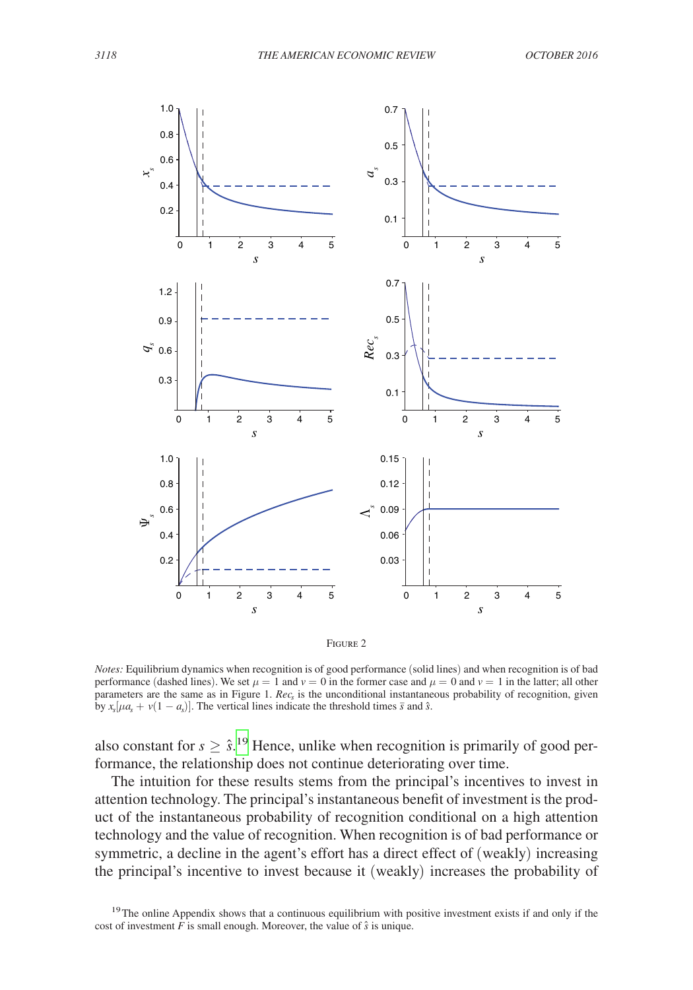<span id="page-14-0"></span>



*Notes:* Equilibrium dynamics when recognition is of good performance (solid lines) and when recognition is of bad performance (dashed lines). We set  $\mu = 1$  and  $\nu = 0$  in the former case and  $\mu = 0$  and  $\nu = 1$  in the latter; all other parameters are the same as in Figure 1. *Rec<sub>s</sub>* is the unconditional instantaneous probability of recognition, given by  $x_s[\mu a_s + v(1 - a_s)]$ . The vertical lines indicate the threshold times  $\bar{s}$  and  $\hat{s}$ .

also constant for  $s \geq \hat{s}$ .<sup>19</sup> Hence, unlike when recognition is primarily of good performance, the relationship does not continue deteriorating over time.

The intuition for these results stems from the principal's incentives to invest in attention technology. The principal's instantaneous benefit of investment is the product of the instantaneous probability of recognition conditional on a high attention technology and the value of recognition. When recognition is of bad performance or symmetric, a decline in the agent's effort has a direct effect of (weakly) increasing the principal's incentive to invest because it (weakly) increases the probability of

<span id="page-14-1"></span><sup>&</sup>lt;sup>19</sup>The online Appendix shows that a continuous equilibrium with positive investment exists if and only if the cost of investment  $F$  is small enough. Moreover, the value of  $\hat{s}$  is unique.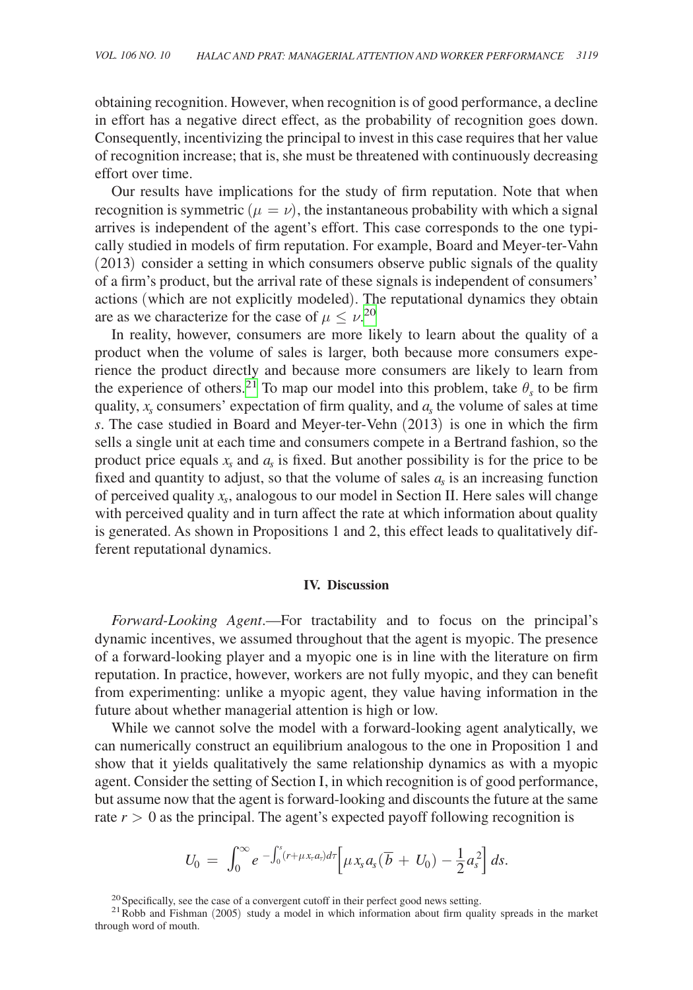obtaining recognition. However, when recognition is of good performance, a decline in effort has a negative direct effect, as the probability of recognition goes down. Consequently, incentivizing the principal to invest in this case requires that her value of recognition increase; that is, she must be threatened with continuously decreasing effort over time.

Our results have implications for the study of firm reputation. Note that when recognition is symmetric  $(\mu = \nu)$ , the instantaneous probability with which a signal arrives is independent of the agent's effort. This case corresponds to the one typically studied in models of firm reputation. For example, Board and Meyer-ter-Vahn (2013) consider a setting in which consumers observe public signals of the quality of a firm's product, but the arrival rate of these signals is independent of consumers' actions (which are not explicitly modeled). The reputational dynamics they obtain are as we characterize for the case of  $\mu \leq \nu^{20}$  $\mu \leq \nu^{20}$  $\mu \leq \nu^{20}$ 

In reality, however, consumers are more likely to learn about the quality of a product when the volume of sales is larger, both because more consumers experience the product directly and because more consumers are likely to learn from the experience of others.<sup>[21](#page-15-1)</sup> To map our model into this problem, take  $\theta_s$  to be firm quality,  $x_s$  consumers' expectation of firm quality, and  $a_s$  the volume of sales at time *s*. The case studied in Board and Meyer-ter-Vehn (2013) is one in which the firm sells a single unit at each time and consumers compete in a Bertrand fashion, so the product price equals  $x_s$  and  $a_s$  is fixed. But another possibility is for the price to be fixed and quantity to adjust, so that the volume of sales  $a<sub>s</sub>$  is an increasing function of perceived quality *xs*, analogous to our model in Section II. Here sales will change with perceived quality and in turn affect the rate at which information about quality is generated. As shown in Propositions 1 and 2, this effect leads to qualitatively different reputational dynamics.

## **IV. Discussion**

*Forward-Looking Agent*.—For tractability and to focus on the principal's dynamic incentives, we assumed throughout that the agent is myopic. The presence of a forward-looking player and a myopic one is in line with the literature on firm reputation. In practice, however, workers are not fully myopic, and they can benefit from experimenting: unlike a myopic agent, they value having information in the future about whether managerial attention is high or low.

While we cannot solve the model with a forward-looking agent analytically, we can numerically construct an equilibrium analogous to the one in Proposition 1 and show that it yields qualitatively the same relationship dynamics as with a myopic agent. Consider the setting of Section I, in which recognition is of good performance, but assume now that the agent is forward-looking and discounts the future at the same rate  $r > 0$  as the principal. The agent's expected payoff following recognition is

$$
U_0\,=\,\int_0^\infty e^{\,-\int_0^s (r+\mu\,x_\tau a_\tau)d\tau}\Big[\mu\,x_s\;\!a_s(\,\overline{b}\,+\,U_0\,)-\frac{1}{2}\;\!a_s^{\,2}\Big]\,ds.
$$

<span id="page-15-1"></span><span id="page-15-0"></span>

<sup>&</sup>lt;sup>20</sup>Specifically, see the case of a convergent cutoff in their perfect good news setting. <sup>21</sup>Robb and Fishman (2005) study a model in which information about firm quality spreads in the market through word of mouth.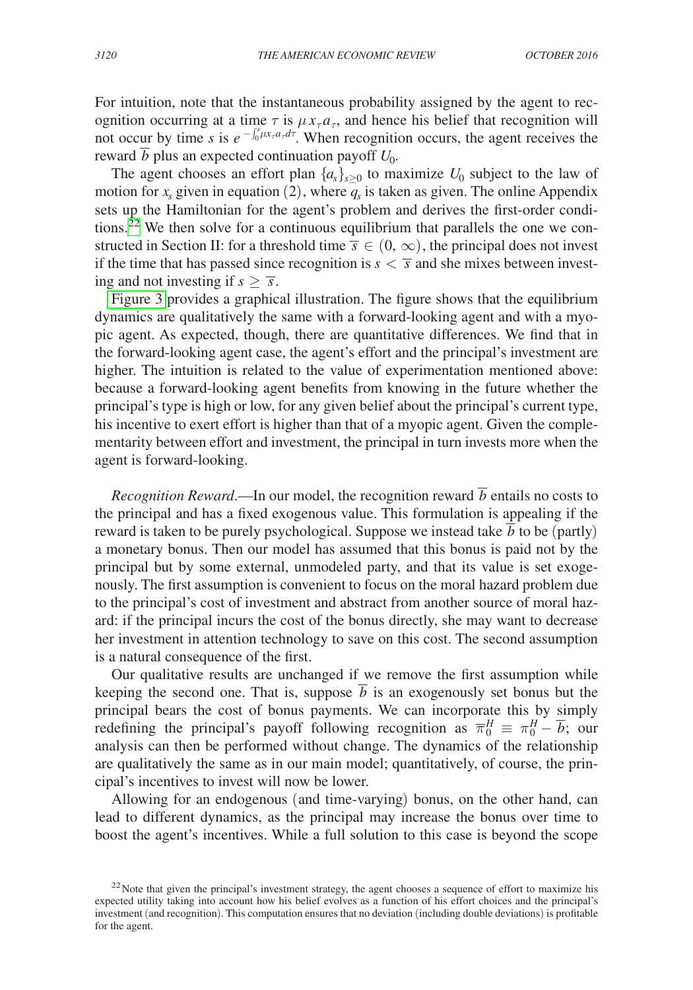For intuition, note that the instantaneous probability assigned by the agent to recognition occurring at a time  $\tau$  is  $\mu x_{\tau} a_{\tau}$ , and hence his belief that recognition will not occur by time *s* is  $e^{-\int_0^s \mu x_\tau a_\tau d\tau}$ . When recognition occurs, the agent receives the reward  $\overline{b}$  plus an expected continuation payoff  $U_0$ .

The agent chooses an effort plan  ${a_s}_{s>0}$  to maximize  $U_0$  subject to the law of motion for  $x_s$  given in equation (2), where  $q_s$  is taken as given. The online Appendix sets up the Hamiltonian for the agent's problem and derives the first-order conditions.<sup>22</sup> We then solve for a continuous equilibrium that parallels the one we constructed in Section II: for a threshold time  $\bar{s} \in (0, \infty)$ , the principal does not invest if the time that has passed since recognition is  $s < \overline{s}$  and she mixes between investing and not investing if  $s \geq \overline{s}$ .

[Figure 3](#page-17-0) provides a graphical illustration. The figure shows that the equilibrium dynamics are qualitatively the same with a forward-looking agent and with a myopic agent. As expected, though, there are quantitative differences. We find that in the forward-looking agent case, the agent's effort and the principal's investment are higher. The intuition is related to the value of experimentation mentioned above: because a forward-looking agent benefits from knowing in the future whether the principal's type is high or low, for any given belief about the principal's current type, his incentive to exert effort is higher than that of a myopic agent. Given the complementarity between effort and investment, the principal in turn invests more when the agent is forward-looking.

*Recognition Reward*.—In our model, the recognition reward  $\overline{b}$  entails no costs to the principal and has a fixed exogenous value. This formulation is appealing if the reward is taken to be purely psychological. Suppose we instead take  $\overline{b}$  to be (partly) a monetary bonus. Then our model has assumed that this bonus is paid not by the principal but by some external, unmodeled party, and that its value is set exogenously. The first assumption is convenient to focus on the moral hazard problem due to the principal's cost of investment and abstract from another source of moral hazard: if the principal incurs the cost of the bonus directly, she may want to decrease her investment in attention technology to save on this cost. The second assumption is a natural consequence of the first.

Our qualitative results are unchanged if we remove the first assumption while keeping the second one. That is, suppose  $\overline{b}$  is an exogenously set bonus but the principal bears the cost of bonus payments. We can incorporate this by simply redefining the principal's payoff following recognition as  $\overline{\pi}_0^H \equiv \pi_0^H - \overline{b}$ ; our analysis can then be performed without change. The dynamics of the relationship are qualitatively the same as in our main model; quantitatively, of course, the principal's incentives to invest will now be lower.

Allowing for an endogenous (and time-varying) bonus, on the other hand, can lead to different dynamics, as the principal may increase the bonus over time to boost the agent's incentives. While a full solution to this case is beyond the scope

<span id="page-16-0"></span><sup>&</sup>lt;sup>22</sup>Note that given the principal's investment strategy, the agent chooses a sequence of effort to maximize his expected utility taking into account how his belief evolves as a function of his effort choices and the principal's investment (and recognition). This computation ensures that no deviation (including double deviations) is profitable for the agent.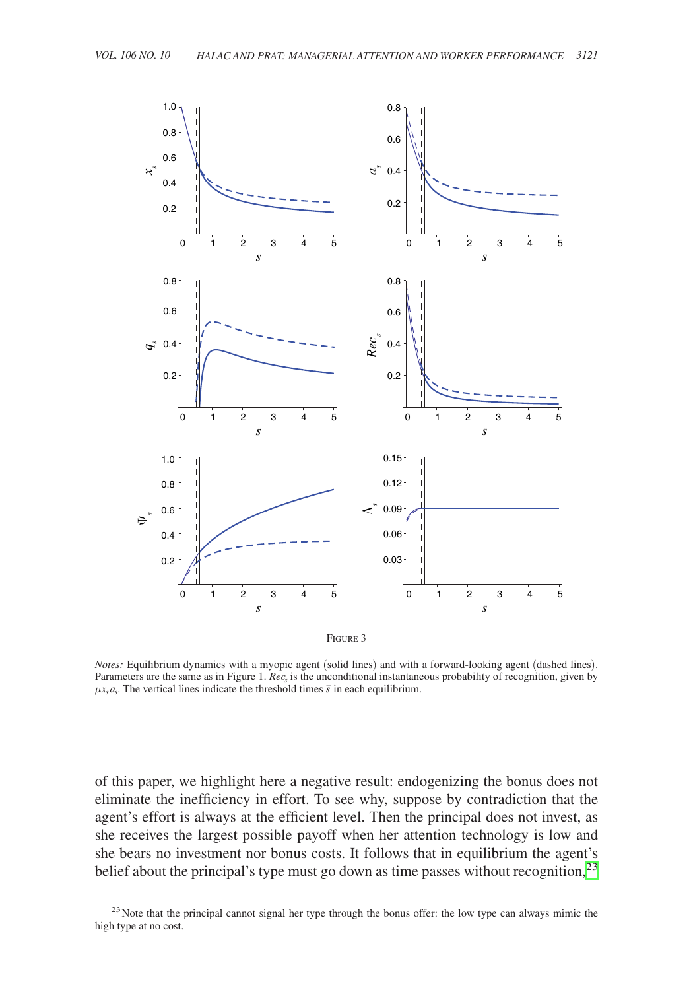<span id="page-17-0"></span>

*Notes:* Equilibrium dynamics with a myopic agent (solid lines) and with a forward-looking agent (dashed lines). Parameters are the same as in Figure 1. *Rec<sub>s</sub>* is the unconditional instantaneous probability of recognition, given by  $\mu x_s a_s$ . The vertical lines indicate the threshold times  $\bar{s}$  in each equilibrium.

of this paper, we highlight here a negative result: endogenizing the bonus does not eliminate the inefficiency in effort. To see why, suppose by contradiction that the agent's effort is always at the efficient level. Then the principal does not invest, as she receives the largest possible payoff when her attention technology is low and she bears no investment nor bonus costs. It follows that in equilibrium the agent's belief about the principal's type must go down as time passes without recognition,  $2<sup>3</sup>$ 

<span id="page-17-1"></span><sup>23</sup>Note that the principal cannot signal her type through the bonus offer: the low type can always mimic the high type at no cost.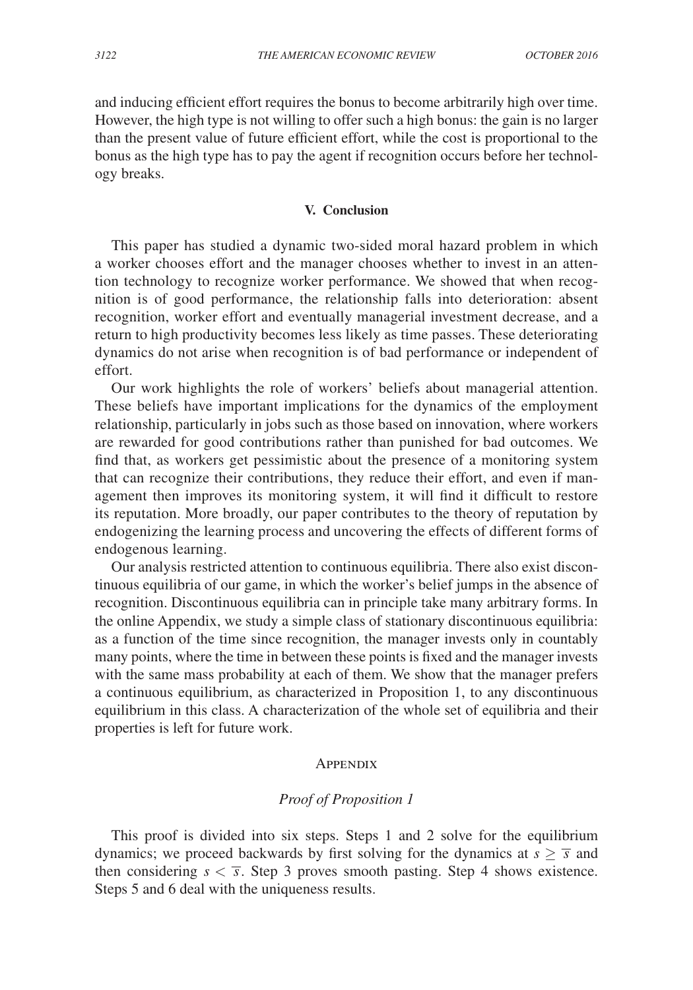and inducing efficient effort requires the bonus to become arbitrarily high over time. However, the high type is not willing to offer such a high bonus: the gain is no larger than the present value of future efficient effort, while the cost is proportional to the bonus as the high type has to pay the agent if recognition occurs before her technology breaks.

## **V. Conclusion**

This paper has studied a dynamic two-sided moral hazard problem in which a worker chooses effort and the manager chooses whether to invest in an attention technology to recognize worker performance. We showed that when recognition is of good performance, the relationship falls into deterioration: absent recognition, worker effort and eventually managerial investment decrease, and a return to high productivity becomes less likely as time passes. These deteriorating dynamics do not arise when recognition is of bad performance or independent of effort.

Our work highlights the role of workers' beliefs about managerial attention. These beliefs have important implications for the dynamics of the employment relationship, particularly in jobs such as those based on innovation, where workers are rewarded for good contributions rather than punished for bad outcomes. We find that, as workers get pessimistic about the presence of a monitoring system that can recognize their contributions, they reduce their effort, and even if management then improves its monitoring system, it will find it difficult to restore its reputation. More broadly, our paper contributes to the theory of reputation by endogenizing the learning process and uncovering the effects of different forms of endogenous learning.

Our analysis restricted attention to continuous equilibria. There also exist discontinuous equilibria of our game, in which the worker's belief jumps in the absence of recognition. Discontinuous equilibria can in principle take many arbitrary forms. In the online Appendix, we study a simple class of stationary discontinuous equilibria: as a function of the time since recognition, the manager invests only in countably many points, where the time in between these points is fixed and the manager invests with the same mass probability at each of them. We show that the manager prefers a continuous equilibrium, as characterized in Proposition 1, to any discontinuous equilibrium in this class. A characterization of the whole set of equilibria and their properties is left for future work.

#### **APPENDIX**

# *Proof of Proposition 1*

This proof is divided into six steps. Steps 1 and 2 solve for the equilibrium dynamics; we proceed backwards by first solving for the dynamics at  $s \geq \bar{s}$  and then considering  $s < \overline{s}$ . Step 3 proves smooth pasting. Step 4 shows existence. Steps 5 and 6 deal with the uniqueness results.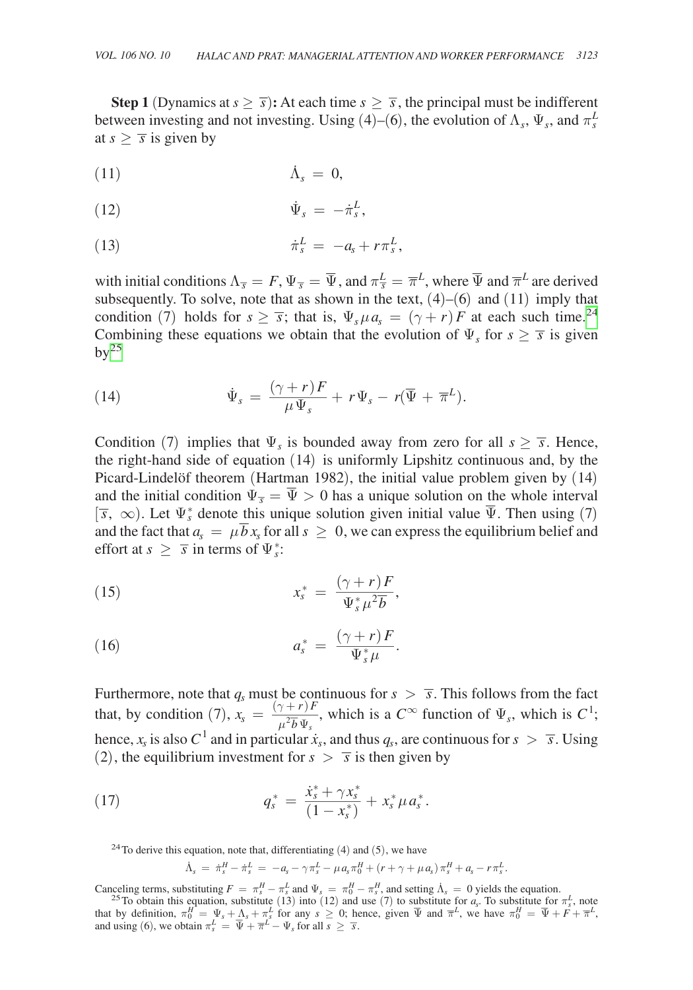**Step 1** (Dynamics at  $s \geq$ *\_*  $\overline{s}$ ): At each time  $s \geq \overline{s}$ , the principal must be indifferent between investing and not investing. Using (4)–(6), the evolution of  $\Lambda_s$ ,  $\Psi_s$ , and  $\pi_s^L$ at  $s \geq \overline{s}$  is given by

$$
\dot{\Lambda}_s = 0,
$$

$$
\dot{\Psi}_s = -\dot{\pi}_s^L,
$$

$$
\dot{\pi}_s^L = -a_s + r\pi_s^L,
$$

with initial conditions  $\Lambda_{\overline{s}} = F$ ,  $\Psi_{\overline{s}} = \overline{\Psi}$ , and  $\pi_{\overline{s}}^L = \overline{\pi}^L$ , where  $\overline{\Psi}$  and  $\overline{\pi}^L$  are derived subsequently. To solve, note that as shown in the text,  $(4)$ – $(6)$  and  $(11)$  imply that condition (7) holds for  $s \geq \overline{s}$ ; that is,  $\Psi_s \mu a_s = (\gamma + r)F$  at each such time.<sup>[24](#page-19-0)</sup> Combining these equations we obtain that the evolution of  $\Psi_s$  for  $s \geq \bar{s}$  is given  $by<sup>25</sup>$  $by<sup>25</sup>$  $by<sup>25</sup>$ 

(14) 
$$
\dot{\Psi}_s = \frac{(\gamma + r)F}{\mu \Psi_s} + r \Psi_s - r(\overline{\Psi} + \overline{\pi}^L).
$$

Condition (7) implies that  $\Psi_s$  is bounded away from zero for all  $s \geq \overline{s}$ . Hence, the right-hand side of equation (14) is uniformly Lipshitz continuous and, by the Picard-Lindelöf theorem (Hartman 1982), the initial value problem given by (14) and the initial condition  $\Psi_{\overline{s}} = \overline{\Psi} > 0$  has a unique solution on the whole interval [ $\overline{s}$ ,  $\infty$ ). Let  $\Psi_s^*$  denote this unique solution given initial value  $\overline{\Psi}$ . Then using (7) and the fact that  $a_s = \mu \overline{b} x_s$  for all  $s \ge 0$ , we can express the equilibrium belief and effort at  $s \geq \overline{s}$  in terms of  $\Psi_s^*$ :

$$
\text{effort at } s \geq \overline{s} \text{ in terms of } \Psi_s^*.
$$
\n
$$
(15) \quad x_s^* = \frac{(\gamma + r)F}{\Psi_s^* \mu^2 b},
$$

(15)  
\n
$$
x_s^* = \frac{\overbrace{(r+r)/r}}{\Psi_s^* \mu^2 b},
$$
\n
$$
a_s^* = \frac{(\gamma+r)F}{\Psi_s^* \mu}.
$$

Furthermore, note that  $q_s$  must be continuous for  $s > \overline{s}$ . This follows from the fact Furthermore, note that  $q_s$  must be contract that, by condition (7),  $x_s = \frac{(\gamma + r)F}{\mu^2 b \Psi_s}$ <br>hence,  $x_s$  is also  $C^1$  and in particular  $\dot{x}$  $(\gamma + r)F$  $\frac{\gamma + r}{\mu^2 \overline{b} \Psi_s}$ , which is a  $C^{\infty}$  function of  $\Psi_s$ , which is  $C^1$ ; hence, *x<sub>s</sub>* is also  $C^1$  and in particular  $\dot{x}_s$ , and thus  $q_s$ , are continuous for  $s > \bar{s}$ . Using

(2), the equilibrium investment for 
$$
s > \overline{s}
$$
 is then given by  
\n(17) 
$$
q_s^* = \frac{\dot{x}_s^* + \gamma x_s^*}{(1 - x_s^*)} + x_s^* \mu a_s^*.
$$

<span id="page-19-0"></span><sup>24</sup>To derive this equation, note that, differentiating (4) and (5), we have

$$
\dot{\Lambda}_s = \dot{\pi}_s^H - \dot{\pi}_s^L = -a_s - \gamma \pi_s^L - \mu a_s \pi_0^H + (r + \gamma + \mu a_s) \pi_s^H + a_s - r \pi_s^L.
$$

Canceling terms, substituting  $F = \pi_s^H - \pi_s^L$  and  $\Psi_s = \pi_0^H - \pi_s^L$ 

<span id="page-19-1"></span>*H*, and setting terms, substituting  $F = \pi_s^H - \pi_s^L$  and  $\Psi_s = \pi_0^H - \pi_s^H$ , and setting  $\dot{\Lambda}_s = 0$  yields the equation.<br><sup>25</sup>To obtain this equation, substitute (13) into (12) and use (7) to substitute for *a<sub>s</sub>*. To sub that by definition,  $\pi_0^H = \Psi_s + \Lambda_s + \pi_s^L$  for any  $s \geq 0$ ; hence, given  $\overline{\Psi}$  and  $\overline{\pi}^L$ , we have  $\pi_0^H = \overline{\Psi} + \overline{F} + \overline{\pi}^L$ , and using (6), we obtain  $\pi_s^L = \overline{\Psi} + \overline{\pi}^L - \Psi_s$  for all  $s \geq \overline{s}$ .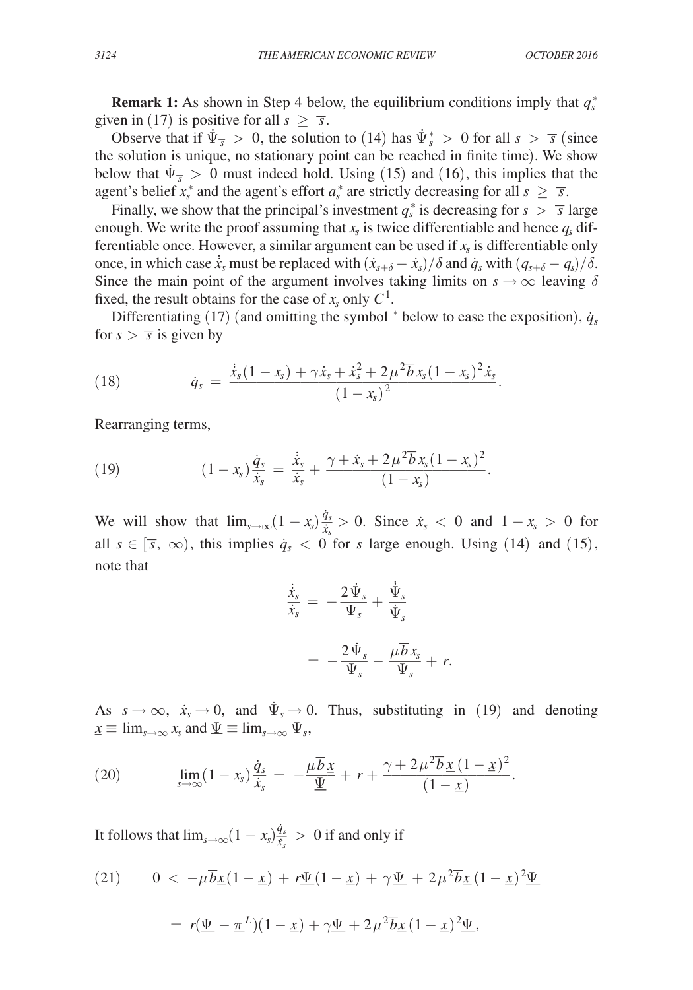**Remark 1:** As shown in Step 4 below, the equilibrium conditions imply that  $q_s^*$ given in (17) is positive for all  $s \geq \overline{s}$ .

Observe that if  $\Psi_{\overline{s}} > 0$ , the solution to (14) has  $\Psi_s^* > 0$  for all  $s > \overline{s}$  (since the solution is unique, no stationary point can be reached in finite time). We show below that  $\Psi_{\overline{s}} > 0$  must indeed hold. Using (15) and (16), this implies that the agent's belief  $x_s^*$  and the agent's effort  $a_s^*$  are strictly decreasing for all  $s \geq \overline{s}$ .

Finally, we show that the principal's investment  $q_s^*$  is decreasing for  $s > \overline{s}$  large enough. We write the proof assuming that  $x<sub>s</sub>$  is twice differentiable and hence  $q<sub>s</sub>$  differentiable once. However, a similar argument can be used if  $x<sub>s</sub>$  is differentiable only once, in which case  $\dot{x}_s$  must be replaced with  $(\dot{x}_{s+\delta} - \dot{x}_s)/\delta$  and  $\dot{q}_s$  with  $(q_{s+\delta} - q_s)/\delta$ . ֦ Since the main point of the argument involves taking limits on  $s \to \infty$  leaving  $\delta$ fixed, the result obtains for the case of  $x_s$  only  $C^1$ .

Differentiating (17) (and omitting the symbol  $*$  below to ease the exposition),  $\dot{q}_s$ for  $s > \overline{s}$  is given by

for 
$$
s > \overline{s}
$$
 is given by  
\n(18) 
$$
\dot{q}_s = \frac{\dot{x}_s (1 - x_s) + \gamma \dot{x}_s + \dot{x}_s^2 + 2 \mu^2 \overline{b} x_s (1 - x_s)^2 \dot{x}_s}{(1 - x_s)^2}.
$$
\nBearranging terms

Rearranging terms,

(19) 
$$
(1 - x_s) \frac{\dot{q}_s}{\dot{x}_s} = \frac{\dot{x}_s}{\dot{x}_s} + \frac{\gamma + \dot{x}_s + 2\mu^2 \overline{b} x_s (1 - x_s)^2}{(1 - x_s)}.
$$

We will show that  $\lim_{s\to\infty}(1-x_s)\frac{\dot{q}_s}{\dot{x}_s}$  $\frac{y_s}{x_s} > 0$ . Since  $\dot{x}_s < 0$  and  $1 - x_s > 0$  for all  $s \in [\overline{s}, \infty)$ , this implies  $\dot{q}_s < 0$  for *s* large enough. Using (14) and (15), note that

$$
\frac{\dot{\dot{x}}_s}{\dot{x}_s} = -\frac{2\dot{\Psi}_s}{\Psi_s} + \frac{\dot{\Psi}_s}{\dot{\Psi}_s}
$$
\n
$$
= -\frac{2\dot{\Psi}_s}{\Psi_s} - \frac{\mu \overline{b}x_s}{\Psi_s} +
$$

+ *r*.

As  $s \to \infty$ ,  $\dot{x}_s \to 0$ , and  $\dot{\Psi}_s \to 0$ . Thus, substituting in (19) and denoting  $x \equiv \lim_{s \to \infty} x_s$  and  $\Psi \equiv \lim_{s \to \infty} \Psi_s$ ,

$$
\Delta s \quad s \to \infty, \quad x_s \to 0, \quad \text{and} \quad \Psi_s \to 0. \quad \text{Thus, substituting in (17) and}
$$
\n
$$
\underline{x} \equiv \lim_{s \to \infty} x_s \text{ and } \underline{\Psi} \equiv \lim_{s \to \infty} \Psi_s,
$$
\n
$$
(20) \qquad \lim_{s \to \infty} (1 - x_s) \frac{\dot{q}_s}{\dot{x}_s} = -\frac{\mu \overline{b} \underline{x}}{\underline{\Psi}} + r + \frac{\gamma + 2\mu^2 \overline{b} \underline{x} (1 - \underline{x})^2}{(1 - \underline{x})}.
$$

It follows that  $\lim_{s\to\infty} (1 - x_s) \frac{\dot{q}_s}{\dot{x}_s} > 0$  if and only if

(21) 
$$
0 < -\mu \overline{b} \underline{x} (1 - \underline{x}) + r \underline{\Psi} (1 - \underline{x}) + \gamma \underline{\Psi} + 2\mu^2 \overline{b} \underline{x} (1 - \underline{x})^2 \underline{\Psi}
$$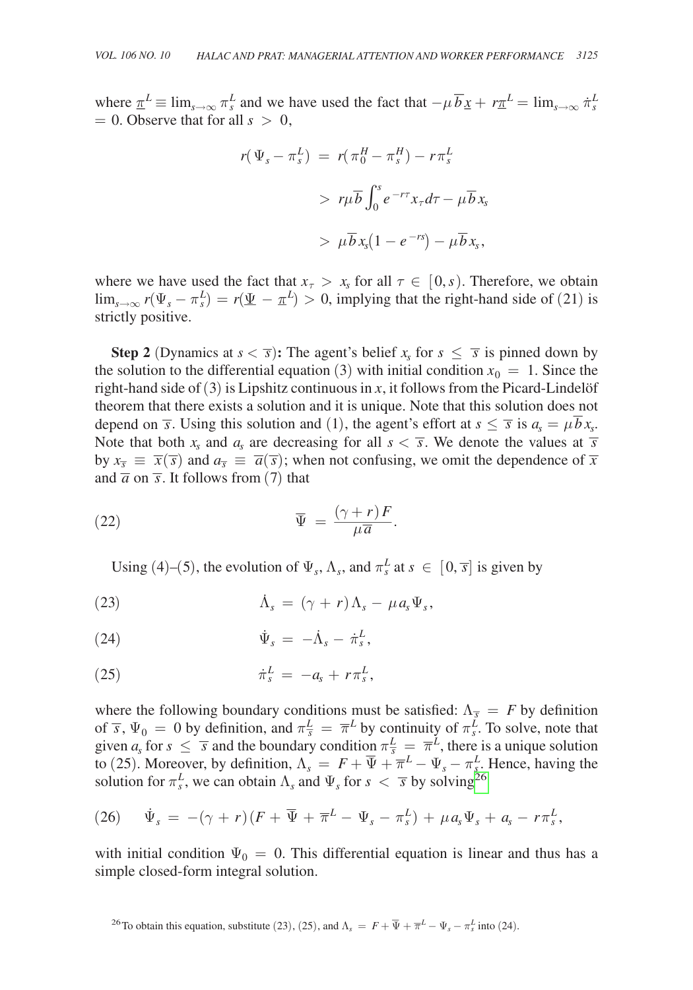where  $\underline{\pi}^L \equiv \lim_{s \to \infty} \pi_s^L$  and we have used the fact that  $-\mu \overline{b} \underline{x} + r \underline{\pi}^L = \lim_{s \to \infty} \dot{\pi}_s^L$ <br>= 0. Observe that for all  $s > 0$ . where  $\underline{\pi}^{\mu} \equiv \lim_{s \to \infty} \pi_s^{\mu}$  and we l<br>= 0. Observe that for all  $s > 0$ ,

$$
r(\Psi_s - \pi_s^L) = r(\pi_0^H - \pi_s^H) - r\pi_s^L
$$
  
> 
$$
r\mu\overline{b} \int_0^s e^{-r\tau} x_{\tau} d\tau - \mu\overline{b} x_s
$$
  
> 
$$
\mu\overline{b} x_s (1 - e^{-rs}) - \mu\overline{b} x_s,
$$

where we have used the fact that  $x_\tau > x_s$  for all  $\tau \in [0, s)$ . Therefore, we obtain  $\lim_{s\to\infty} r(\Psi_s - \pi_s^L) = r(\Psi - \pi^L) > 0$ , implying that the right-hand side of (21) is strictly positive.

**Step 2** (Dynamics at  $s < \overline{s}$ ): The agent's belief  $x_s$  for  $s \leq \overline{s}$  is pinned down by the solution to the differential equation (3) with initial condition  $x_0 = 1$ . Since the right-hand side of  $(3)$  is Lipshitz continuous in *x*, it follows from the Picard-Lindelöf theorem that there exists a solution and it is unique. Note that this solution does not depend on  $\overline{s}$ . Using this solution and (1), the agent's effort at  $s \leq \overline{s}$  is  $a_s = \mu \overline{b} x_s$ . Note that both  $x_s$  and  $a_s$  are decreasing for all  $s < \overline{s}$ . We denote the values at  $\overline{s}$ by  $x_{\overline{s}} \equiv \overline{x}(\overline{s})$  and  $a_{\overline{s}} \equiv \overline{a}(\overline{s})$ ; when not confusing, we omit the dependence of  $\overline{x}$ 

and 
$$
\overline{a}
$$
 on  $\overline{s}$ . It follows from (7) that  
\n(22) 
$$
\overline{\Psi} = \frac{(\gamma + r)F}{\mu \overline{a}}.
$$

Using (4)–(5), the evolution of  $\Psi_s$ ,  $\Lambda_s$ , and  $\pi_s^L$  at  $s \in [0, \overline{s}]$  is given by

(23) 
$$
\dot{\Lambda}_s = (\gamma + r) \Lambda_s - \mu a_s \Psi_s,
$$

$$
\dot{\Psi}_s = -\dot{\Lambda}_s - \dot{\pi}_s^L,
$$

$$
\dot{\pi}_s^L = -a_s + r\pi_s^L,
$$

where the following boundary conditions must be satisfied:  $\Lambda_{\overline{s}} = F$  by definition of  $\bar{s}$ ,  $\Psi_0 = 0$  by definition, and  $\pi \frac{L}{s} = \bar{\pi}^L$  by continuity of  $\pi \frac{L}{s}$ . To solve, note that given  $a_s$  for  $s \leq \overline{s}$  and the boundary condition  $\pi \frac{L}{s} = \overline{\pi}^L$ , there is a unique solution to (25). Moreover, by definition,  $\Lambda_s = F + \overline{\Psi} + \overline{\pi}^L - \Psi_s - \pi_s^L$ . Hence, having the solution for  $\pi_s^L$ , we can obtain  $\Lambda_s$  and  $\Psi_s$  for  $s < \bar{s}$  by solving<sup>26</sup>

(26) 
$$
\dot{\Psi}_s = -(\gamma + r)(F + \overline{\Psi} + \overline{\pi}^L - \Psi_s - \pi_s^L) + \mu a_s \Psi_s + a_s - r \pi_s^L,
$$

with initial condition  $\Psi_0 = 0$ . This differential equation is linear and thus has a simple closed-form integral solution.

<span id="page-21-0"></span><sup>26</sup> To obtain this equation, substitute (23), (25), and  $\Lambda_s = F + \overline{\Psi} + \overline{\pi}^L - \Psi_s - \pi_s^L$  into (24).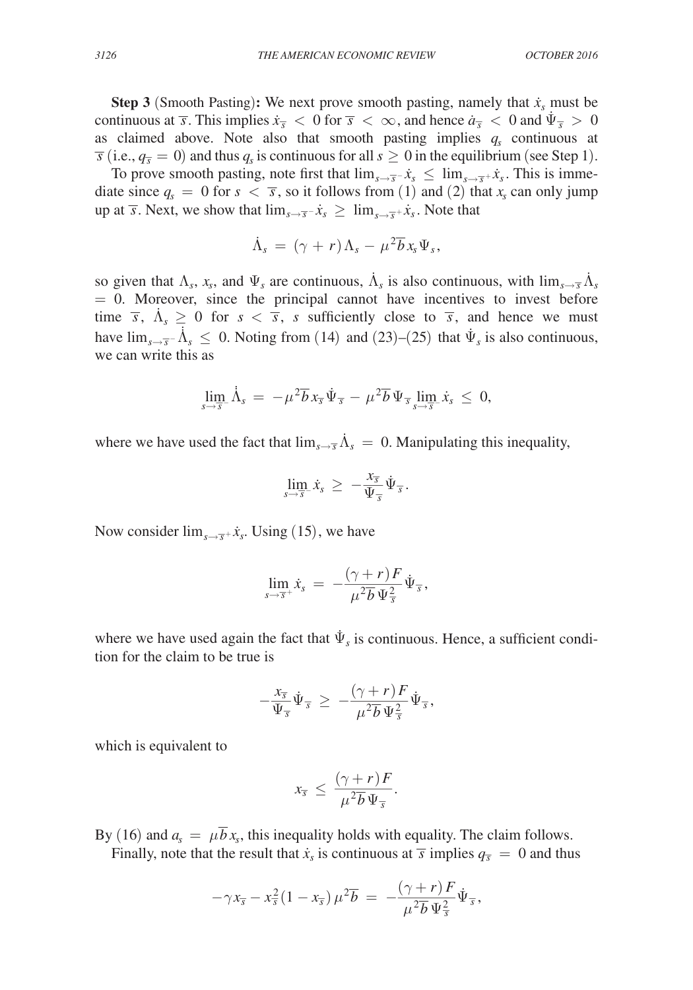**Step 3** (Smooth Pasting): We next prove smooth pasting, namely that  $\dot{x}_s$  must be continuous at  $\overline{s}$ . This implies  $\dot{x}_{\overline{s}} < 0$  for  $\overline{s} < \infty$ , and hence  $\dot{a}_{\overline{s}} < 0$  and  $\dot{\Psi}_{\overline{s}} > 0$ as claimed above. Note also that smooth pasting implies  $q_s$  continuous at  $\overline{s}$  (i.e.,  $q_{\overline{s}} = 0$ ) and thus  $q_s$  is continuous for all  $s \ge 0$  in the equilibrium (see Step 1).

To prove smooth pasting, note first that  $\lim_{s \to \overline{s}} - \dot{x}_s \leq \lim_{s \to \overline{s}} \dot{x}_s$ . This is immediate since  $q_s = 0$  for  $s < \overline{s}$ , so it follows from (1) and (2) that  $x_s$  can only jump up at  $\overline{s}$ . Next, we show that  $\lim_{s\to\overline{s}} - \dot{x}_s \geq \lim_{s\to\overline{s}} \dot{x}_s$ . Note that

$$
\dot{\Lambda}_s = (\gamma + r) \Lambda_s - \mu^2 \overline{b} x_s \Psi_s,
$$

so given that  $\Lambda_s$ ,  $x_s$ , and  $\Psi_s$  are continuous,  $\Lambda_s$  is also continuous, with  $\lim_{s\to\overline{s}}\Lambda_s$  $= 0$ . Moreover, since the principal cannot have incentives to invest before time  $\overline{s}$ ,  $\Lambda_s \geq 0$  for  $s < \overline{s}$ , *s* sufficiently close to  $\overline{s}$ , and hence we must have  $\lim_{s\to\overline{s}} \dot{\Lambda}_s \leq 0$ . Noting from (14) and (23)–(25) that  $\dot{\Psi}_s$  is also continuous, we can write this as

$$
\lim_{s \to \overline{s}} \dot{\Lambda}_s = -\mu^2 \overline{b} x_{\overline{s}} \dot{\Psi}_{\overline{s}} - \mu^2 \overline{b} \Psi_{\overline{s}} \lim_{s \to \overline{s}} \dot{x}_s \leq 0,
$$

where we have used the fact that  $\lim_{s\to\overline{s}} \Lambda_s = 0$ . Manipulating this inequality,

$$
\lim_{s\to \overline s^-}\dot x_s\ \geq\ -{\textstyle\frac{\chi_{\overline s}}{\Psi_{\overline s}}}\dot{\Psi}_{\overline s}\,.
$$

Now consider  $\lim_{s \to \overline{s}} \dot{x}_s$ . Using (15), we have

Now consider 
$$
\lim_{s \to \overline{s}^+} \dot{x}_s
$$
. Using (15), we have  

$$
\lim_{s \to \overline{s}^+} \dot{x}_s = -\frac{(\gamma + r)F}{\mu^2 \overline{b} \Psi_s^2} \dot{\Psi}_{\overline{s}},
$$

where we have used again the fact that  $\dot{\Psi}_s$  is continuous. Hence, a sufficient condition for the claim to be true is

$$
\text{which for the claim to be true is}
$$
\n
$$
-\frac{x_{\overline{s}}}{\Psi_{\overline{s}}} \dot{\Psi}_{\overline{s}} \ge -\frac{(\gamma + r)F}{\mu^2 \overline{b} \Psi_{\overline{s}}^2} \dot{\Psi}_{\overline{s}},
$$

which is equivalent to

which is equivalent to  
 
$$
x_{\overline{s}} \leq \frac{(\gamma + r)F}{\mu^2 \overline{b} \Psi_{\overline{s}}}.
$$

By (16) and  $a_s = \mu \overline{b} x_s$ , this inequality holds with equality. The claim follows.

Finally, note that the result that 
$$
\dot{x}_s
$$
 is continuous at  $\overline{s}$  implies  $q_{\overline{s}} = 0$  and thus  
\n
$$
-\gamma x_{\overline{s}} - x_{\overline{s}}^2 (1 - x_{\overline{s}}) \mu^2 \overline{b} = -\frac{(\gamma + r)F}{\mu^2 \overline{b} \Psi_{\overline{s}}^2} \dot{\Psi}_{\overline{s}},
$$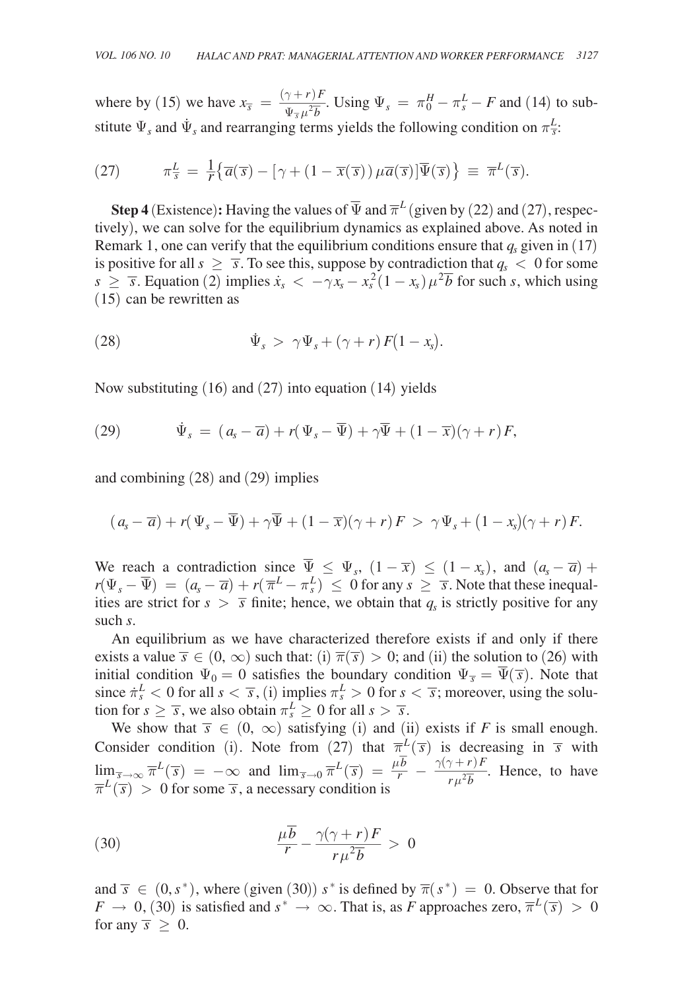where by (15) we have  $x_{\overline{s}} = \frac{(\gamma + r)F}{\Psi_{\overline{s}}\mu^2 \overline{b}}$ <br>stitute  $\Psi$ , and  $\Psi$ , and rearranging term  $(\gamma + r)F$  $\frac{\gamma + r}{\Psi_{\overline{s}} \mu^2 \overline{b}}$ . Using  $\Psi_s = \pi_0^H - \pi_s^L - F$  and (14) to substitute  $\Psi_s$  and  $\dot{\Psi}_s$  and rearranging terms yields the following condition on  $\pi\frac{L}{s}$ .

(27) 
$$
\pi_{\overline{s}}^L = \frac{1}{r} \{ \overline{a}(\overline{s}) - [\gamma + (1 - \overline{x}(\overline{s})) \mu \overline{a}(\overline{s})] \overline{\Psi}(\overline{s}) \} \equiv \overline{\pi}^L(\overline{s}).
$$

**Step 4** (Existence): Having the values of  $\overline{\Psi}$  and  $\overline{\pi}^L$  (given by (22) and (27), respectively), we can solve for the equilibrium dynamics as explained above. As noted in Remark 1, one can verify that the equilibrium conditions ensure that  $q_s$  given in (17) is positive for all  $s \geq \overline{s}$ . To see this, suppose by contradiction that  $q_s < 0$  for some  $s \geq \overline{s}$ . Equation (2) implies  $\dot{x}_s < -\gamma x_s - x_s^2(1 - x_s)\mu^2\overline{b}$  for such *s*, which using (15) can be rewritten as

(28) 
$$
\dot{\Psi}_s > \gamma \Psi_s + (\gamma + r) F(1 - x_s).
$$

Now substituting  $(16)$  and  $(27)$  into equation  $(14)$  yields

(29) 
$$
\dot{\Psi}_s = (a_s - \overline{a}) + r(\Psi_s - \overline{\Psi}) + \gamma \overline{\Psi} + (1 - \overline{x})(\gamma + r)F,
$$

and combining (28) and (29) implies

$$
(a_s-\overline{a})+r(\Psi_s-\overline{\Psi})+\gamma\overline{\Psi}+(1-\overline{x})(\gamma+r)F > \gamma\Psi_s+(1-x_s)(\gamma+r)F.
$$

We reach a contradiction since  $\overline{\Psi} \leq \Psi_s$ ,  $(1 - \overline{x}) \leq (1 - x_s)$ , and  $(a_s - \overline{a})$  +  $r(\Psi_s - \overline{\Psi}) = (a_s - \overline{a}) + r(\overline{\pi}^L - \pi_s^L) \leq 0$  for any  $s \geq \overline{s}$ . Note that these inequalities are strict for  $s > \overline{s}$  finite; hence, we obtain that  $q_s$  is strictly positive for any such *s*.

An equilibrium as we have characterized therefore exists if and only if there exists a value  $\bar{s} \in (0, \infty)$  such that: (i)  $\bar{\pi}(\bar{s}) > 0$ ; and (ii) the solution to (26) with initial condition  $\Psi_0 = 0$  satisfies the boundary condition  $\Psi_{\overline{s}} = \overline{\Psi}(\overline{s})$ . Note that since  $\pi_s^L < 0$  for all  $s < \overline{s}$ , (i) implies  $\pi_s^L > 0$  for  $s < \overline{s}$ ; moreover, using the solution for  $s \geq \overline{s}$ , we also obtain  $\pi_s^L \geq 0$  for all  $s > \overline{s}$ .

We show that  $\overline{s} \in (0, \infty)$  satisfying (i) and (ii) exists if *F* is small enough. Consider condition (i). Note from (27) that  $\overline{\pi}^L(\overline{s})$  is decreasing in  $\overline{s}$  with  $\lim_{\overline{s}\to\infty} \overline{\pi}^L(\overline{s}) = -\infty$  and  $\lim_{\overline{s}\to 0} \overline{\pi}^L(\overline{s}) = \frac{\mu \overline{b}}{r}$ (ii) exists if *F*<br>  $\frac{\overline{\pi}^L(\overline{s})}{\overline{\pi}^L}$  is decretible to  $\frac{\overline{\pi}^L}{r}$  -  $\frac{\gamma(\gamma+r)F}{r\mu^2\overline{b}}$  $\gamma(\gamma + r)F$  $\frac{(r+1)^2}{r\mu^2\overline{b}}$ . Hence, to have

$$
\overline{\pi}^{L}(\overline{s}) > 0 \text{ for some } \overline{s}, \text{ a necessary condition is}
$$
\n(30)\n
$$
\frac{\mu \overline{b}}{r} - \frac{\gamma(\gamma + r)F}{r\mu^{2}\overline{b}} > 0
$$
\n
$$
\mu \overline{b} = \frac{\gamma(\gamma + r)F}{r\mu^{2}\overline{b}} > 0
$$

and  $\overline{s} \in (0, s^*)$ , where (given (30))  $s^*$  is defined by  $\overline{\pi}(s^*) = 0$ . Observe that for  $F \to 0$ , (30) is satisfied and  $s^* \to \infty$ . That is, as *F* approaches zero,  $\overline{\pi}^L(\overline{s}) > 0$ for any  $\overline{s} \geq 0$ .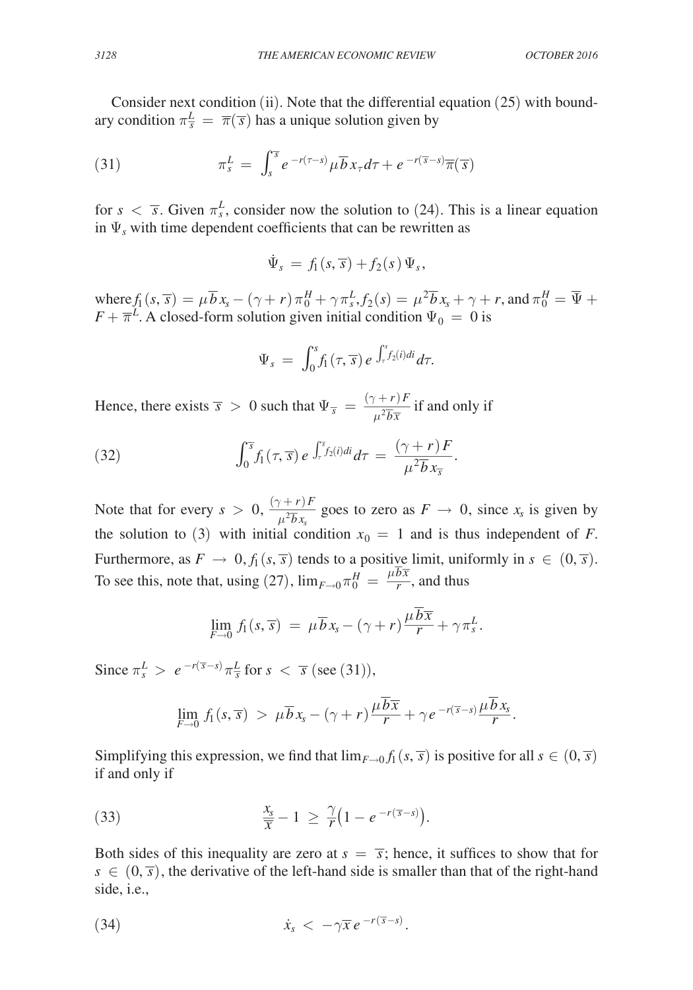Consider next condition (ii). Note that the differential equation (25) with boundary condition  $\pi \frac{L}{s} = \overline{\pi}(\overline{s})$  has a unique solution given by

(31) 
$$
\pi_s^L = \int_s^{\overline{s}} e^{-r(\tau-s)} \mu \overline{b} x_\tau d\tau + e^{-r(\overline{s}-s)} \overline{\pi}(\overline{s})
$$

for  $s < \overline{s}$ . Given  $\pi_s^L$ , consider now the solution to (24). This is a linear equation in  $\Psi_{\rm s}$  with time dependent coefficients that can be rewritten as

$$
\dot{\Psi}_s = f_1(s, \overline{s}) + f_2(s) \Psi_s,
$$

where  $f_1(s, \bar{s}) = \mu \bar{b} x_s - (\gamma + r) \pi_0^H + \gamma \pi_s^L$ ,  $f_2(s) = \mu^2 \bar{b} x_s + \gamma + r$ , and  $\pi_0^H = \bar{\Psi} + \bar{\Psi}$  $F + \overline{\pi}^L$ . A closed-form solution given initial condition  $\Psi_0 = 0$  is

$$
\Psi_s \ = \ \int_0^s f_1(\tau,\overline{s})\,e \,\int_{\tau}^s f_2(i) di\,d\tau.
$$

Hence, there exists  $\overline{s}$  > 0 such that  $\Psi_{\overline{s}} = \frac{(\gamma + r)F}{\mu^2 \overline{b} \overline{x}}$  $(\gamma + r)F$ 

Hence, there exists 
$$
\overline{s} > 0
$$
 such that  $\Psi_{\overline{s}} = \frac{(\gamma + r)r}{\mu^2 \overline{bx}}$  if and only if  
(32) 
$$
\int_0^{\overline{s}} f_1(\tau, \overline{s}) e^{\int_{\tau}^{\overline{s}} f_2(i)di} d\tau = \frac{(\gamma + r)F}{\mu^2 \overline{b} x_{\overline{s}}}
$$

Note that for every  $s > 0$ ,  $\frac{(\gamma + r)F}{\mu^2 \overline{b} x_s}$ <br>the solution to (3) with initial con  $(\gamma + r)F$  $\frac{p+P}{\mu^2 b x_s}$  goes to zero as  $F \to 0$ , since  $x_s$  is given by the solution to (3) with initial condition  $x_0 = 1$  and is thus independent of *F*. Furthermore, as  $F \to 0, f_1(s, \overline{s})$  tends to a positive limit, uniformly in  $s \in (0, \overline{s})$ . Furthermore, as  $F \to 0$ ,  $J_1(s, s)$  tends to a positive limit, unit<br>To see this, note that, using (27),  $\lim_{F \to 0} \pi_0^H = \frac{\mu \overline{b} \overline{x}}{r}$ , and thus

$$
\lim_{F \to 0} f_1(s, \overline{s}) = \mu \overline{b} x_s - (\gamma + r) \frac{\mu \overline{b} \overline{x}}{r} + \gamma \pi_s^L.
$$

Since  $\pi_s^L > e^{-r(\overline{s}-s)} \pi_{\overline{s}}^L$  for  $s < \overline{s}$  (see (31)),

$$
\lim_{F\to 0} f_1(s,\overline{s}) > \mu \overline{b} x_s - (\gamma + r) \frac{\mu \overline{b} \overline{x}}{r} + \gamma e^{-r(\overline{s}-s)} \frac{\mu \overline{b} x_s}{r}.
$$

Simplifying this expression, we find that  $\lim_{F\to 0} f_1(s, \overline{s})$  is positive for all  $s \in (0, \overline{s})$ if and only if

(33) 
$$
\frac{x_s}{\overline{x}} - 1 \geq \frac{\gamma}{r} \left( 1 - e^{-r(\overline{s}-s)} \right).
$$

Both sides of this inequality are zero at  $s = \overline{s}$ ; hence, it suffices to show that for  $s \in (0, \overline{s})$ , the derivative of the left-hand side is smaller than that of the right-hand side, i.e.,

(34) 
$$
\dot{x}_s < -\gamma \overline{x} e^{-r(\overline{s}-s)}.
$$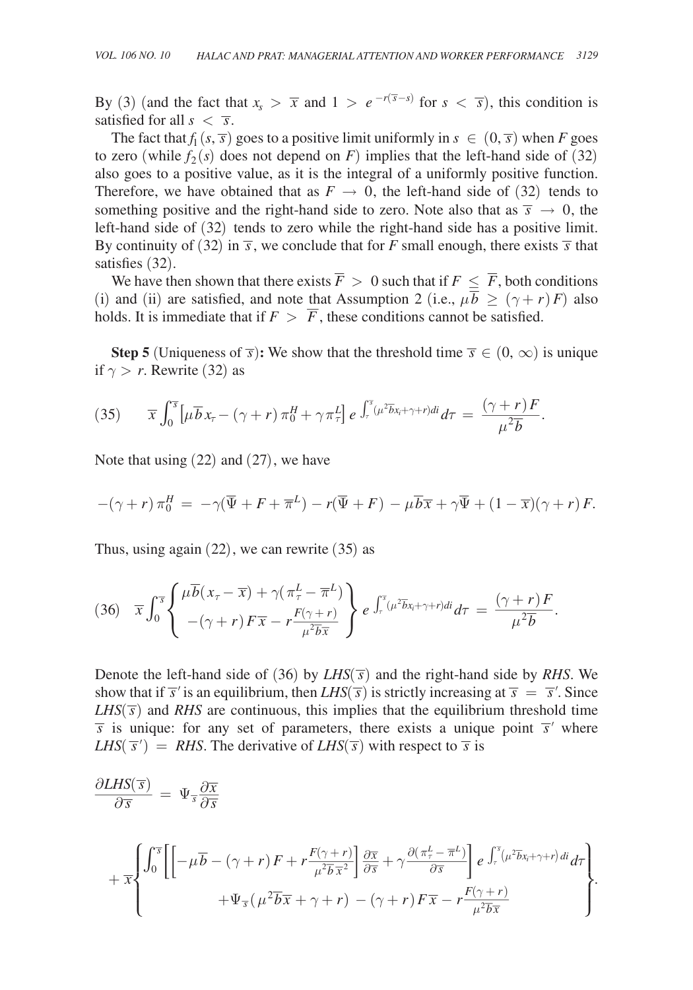By (3) (and the fact that  $x_s > \overline{x}$  and  $1 > e^{-r(\overline{s}-s)}$  for  $s < \overline{s}$ ), this condition is satisfied for all  $s < \overline{s}$ .

The fact that  $f_1(s, \overline{s})$  goes to a positive limit uniformly in  $s \in (0, \overline{s})$  when *F* goes to zero (while  $f_2(s)$  does not depend on *F*) implies that the left-hand side of (32) also goes to a positive value, as it is the integral of a uniformly positive function. Therefore, we have obtained that as  $F \to 0$ , the left-hand side of (32) tends to something positive and the right-hand side to zero. Note also that as  $\bar{s} \rightarrow 0$ , the left-hand side of (32) tends to zero while the right-hand side has a positive limit. By continuity of (32) in  $\bar{s}$ , we conclude that for *F* small enough, there exists  $\bar{s}$  that satisfies (32).

We have then shown that there exists  $\overline{F}$  > 0 such that if  $F \leq \overline{F}$ , both conditions (i) and (ii) are satisfied, and note that Assumption 2 (i.e.,  $\mu \overline{b} \ge (\gamma + r)F$ ) also (1) and (1) are satisfied, and note that Assumption 2 (1.e.,  $\mu \nu \ge (\gamma + r)$  holds. It is immediate that if  $F > \overline{F}$ , these conditions cannot be satisfied.

**Step 5** (Uniqueness of  $\overline{s}$ ): We show that the threshold time  $\overline{s} \in (0, \infty)$  is unique if  $\gamma > r$ . Rewrite (32) as

(35) 
$$
\overline{x} \int_0^{\pi} \left[ \mu \overline{b} x_\tau - (\gamma + r) \pi_0^H + \gamma \pi_\tau^L \right] e^{\int_{\tau}^{\pi} (\mu^2 \overline{b} x_\tau + \gamma + r) dt} d\tau = \frac{(\gamma + r)F}{\mu^2 \overline{b}}.
$$

Note that using  $(22)$  and  $(27)$ , we have

$$
-(\gamma + r)\pi_0^H = -\gamma(\overline{\Psi} + F + \overline{\pi}^L) - r(\overline{\Psi} + F) - \mu \overline{b}\overline{x} + \gamma \overline{\Psi} + (1 - \overline{x})(\gamma + r)F.
$$

Thus, using again (22), we can rewrite (35) as

Thus, using again (22), we can rewrite (33) as  
\n(36) 
$$
\overline{x} \int_0^{\overline{s}} \begin{cases} \mu \overline{b}(x_{\tau} - \overline{x}) + \gamma(\pi_{\tau}^L - \overline{\pi}^L) \\ -(\gamma + r) F \overline{x} - r \frac{F(\gamma + r)}{\mu^2 \overline{b} \overline{x}} \end{cases} e^{\int_{\tau}^{\overline{s}} (\mu^2 \overline{b} x_{\tau} + \gamma + r) dt} d\tau = \frac{(\gamma + r)F}{\mu^2 \overline{b}}.
$$

Denote the left-hand side of (36) by  $LHS(\overline{s})$  and the right-hand side by *RHS*. We show that if  $\overline{s}$ ' is an equilibrium, then *LHS*( $\overline{s}$ ) is strictly increasing at  $\overline{s} = \overline{s}'$ . Since *LHS* $(\overline{s})$  and *RHS* are continuous, this implies that the equilibrium threshold time  $\overline{s}$  is unique: for any set of parameters, there exists a unique point  $\overline{s}'$  where

LHS(
$$
\overline{s}'
$$
) = RHS. The derivative of LHS( $\overline{s}$ ) with respect to  $\overline{s}$  is  
\n
$$
\frac{\partial LHS(\overline{s})}{\partial \overline{s}} = \Psi_{\overline{s}} \frac{\partial \overline{x}}{\partial \overline{s}}
$$
\n
$$
+ \overline{x} \Biggl\{ \int_0^{\overline{s}} \Biggl[ -\mu \overline{b} - (\gamma + r)F + r \frac{F(\gamma + r)}{\mu^2 \overline{b} \overline{x}^2} \Biggr] \frac{\partial \overline{x}}{\partial \overline{s}} + \gamma \frac{\partial (\pi_r^L - \overline{\pi}^L)}{\partial \overline{s}} \Biggr] e^{\int_r^{\overline{s}} (\mu^2 \overline{b} x_r + \gamma + r) dt} d\tau + \Psi_{\overline{s}} (\mu^2 \overline{b} \overline{x} + \gamma + r) - (\gamma + r) F \overline{x} - r \frac{F(\gamma + r)}{\mu^2 \overline{b} \overline{x}} \Biggr].
$$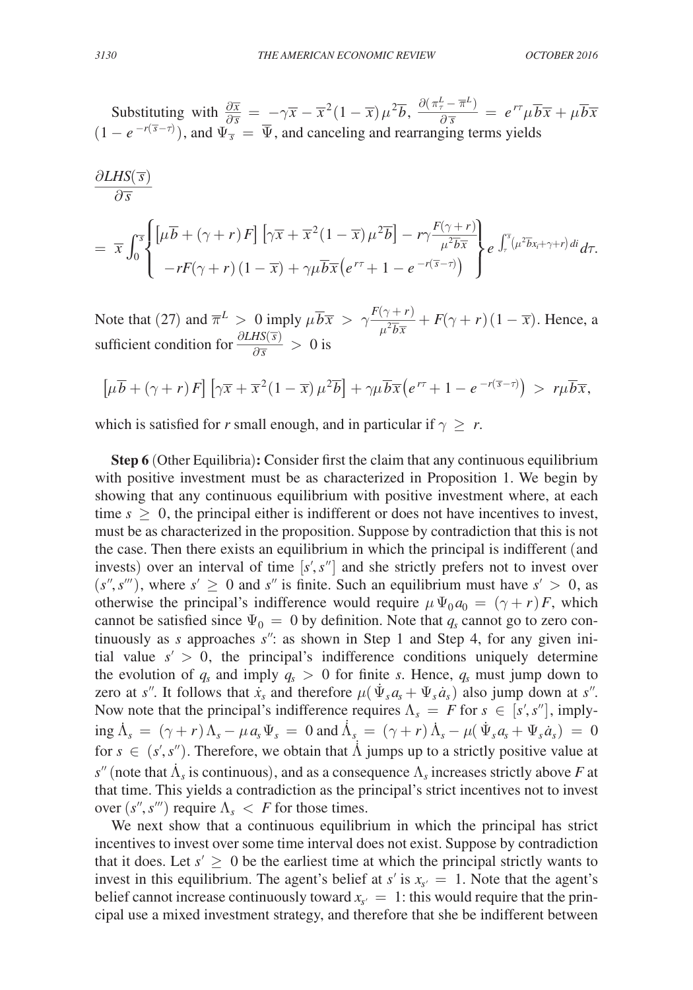Substituting with  $\frac{\partial \overline{x}}{\partial \overline{s}} = -\gamma \overline{x} - \overline{x}^2 (1 - \overline{x}) \mu^2 \overline{b}$ ,  $\frac{\partial (\pi \overline{x} - \overline{x}^L)}{\partial \overline{s}}$ *IEW*<br> $\frac{\partial (\pi_\tau^L - \overline{\pi}^L)}{\partial \overline{s}}$ <br>ranging te  $\frac{\overline{r} - \overline{\pi}}{\partial \overline{s}} = e^{r\tau} \mu \overline{b} \overline{x} + \mu \overline{b} \overline{x}$ 

$$
(1 - e^{-r(\overline{s} - \tau)}), \text{ and } \Psi_{\overline{s}} = \overline{\Psi}, \text{ and canceling and rearranging terms yields}
$$
\n
$$
\frac{\partial LHS(\overline{s})}{\partial \overline{s}}
$$
\n
$$
= \overline{x} \int_0^{\overline{s}} \left[ \mu \overline{b} + (\gamma + r) F \right] \left[ \gamma \overline{x} + \overline{x}^2 (1 - \overline{x}) \mu^2 \overline{b} \right] - r \gamma \frac{F(\gamma + r)}{\mu^2 \overline{b} \overline{x}} \right] e^{\int_{\tau}^{\overline{s}} (\mu^2 \overline{b} x_i + \gamma + r) dt} d\tau.
$$

Note that (27) and  $\overline{\pi}^L > 0$  imply  $\mu \overline{b} \overline{x} > \gamma^L$  $rac{F(\gamma+r)}{\mu^2 \overline{b} \overline{x}}$  $F(\gamma + r)$  $\frac{(\gamma + r)}{\mu^2 \overline{b} \overline{x}}$  +  $F(\gamma + r)(1 - \overline{x})$ . Hence, a Note that (27) and  $\overline{\pi}^L > 0$  im<br>sufficient condition for  $\frac{\partial LHS(\overline{s})}{\partial \overline{s}}$ ∂*LHS*(*s*̅)  $rac{a_{13}(s)}{\partial s} > 0$  is

$$
\left[\mu \overline{b} + (\gamma + r)F\right] \left[\gamma \overline{x} + \overline{x}^2 (1 - \overline{x}) \mu^2 \overline{b}\right] + \gamma \mu \overline{b} \overline{x} \left(e^{r\tau} + 1 - e^{-r(\overline{s} - \tau)}\right) > r\mu \overline{b} \overline{x},
$$

which is satisfied for *r* small enough, and in particular if  $\gamma \geq r$ .

**Step 6** (Other Equilibria)**:** Consider first the claim that any continuous equilibrium with positive investment must be as characterized in Proposition 1. We begin by showing that any continuous equilibrium with positive investment where, at each time  $s \geq 0$ , the principal either is indifferent or does not have incentives to invest, must be as characterized in the proposition. Suppose by contradiction that this is not the case. Then there exists an equilibrium in which the principal is indifferent (and invests) over an interval of time [*s*′,*s*′′] and she strictly prefers not to invest over  $(s'', s''')$ , where  $s' \ge 0$  and  $s''$  is finite. Such an equilibrium must have  $s' > 0$ , as otherwise the principal's indifference would require  $\mu \Psi_0 a_0 = (\gamma + r)F$ , which cannot be satisfied since  $\Psi_0 = 0$  by definition. Note that  $q_s$  cannot go to zero continuously as *s* approaches *s*″: as shown in Step 1 and Step 4, for any given initial value  $s' > 0$ , the principal's indifference conditions uniquely determine the evolution of  $q_s$  and imply  $q_s > 0$  for finite *s*. Hence,  $q_s$  must jump down to zero at *s''*. It follows that  $\dot{x}_s$  and therefore  $\mu(\dot{\Psi}_s a_s + \Psi_s \dot{a}_s)$  also jump down at *s''*. Now note that the principal's indifference requires  $\Lambda_s = F$  for  $s \in [s', s'']$ , imply- $\sin g \dot{\Lambda}_s = (\gamma + r) \Lambda_s - \mu a_s \Psi_s = 0$  and  $\dot{\Lambda}_s = (\gamma + r) \dot{\Lambda}_s - \mu (\dot{\Psi}_s a_s + \Psi_s \dot{a}_s) = 0$ for  $s \in (s', s'')$ . Therefore, we obtain that  $\dot{\Lambda}$  jumps up to a strictly positive value at  $s''$  (note that  $\dot{\Lambda}_s$  is continuous), and as a consequence  $\Lambda_s$  increases strictly above *F* at that time. This yields a contradiction as the principal's strict incentives not to invest over  $(s'', s''')$  require  $\Lambda_s < F$  for those times.

We next show that a continuous equilibrium in which the principal has strict incentives to invest over some time interval does not exist. Suppose by contradiction that it does. Let  $s' \geq 0$  be the earliest time at which the principal strictly wants to invest in this equilibrium. The agent's belief at  $s'$  is  $x_{s'} = 1$ . Note that the agent's belief cannot increase continuously toward  $x_{s'} = 1$ : this would require that the principal use a mixed investment strategy, and therefore that she be indifferent between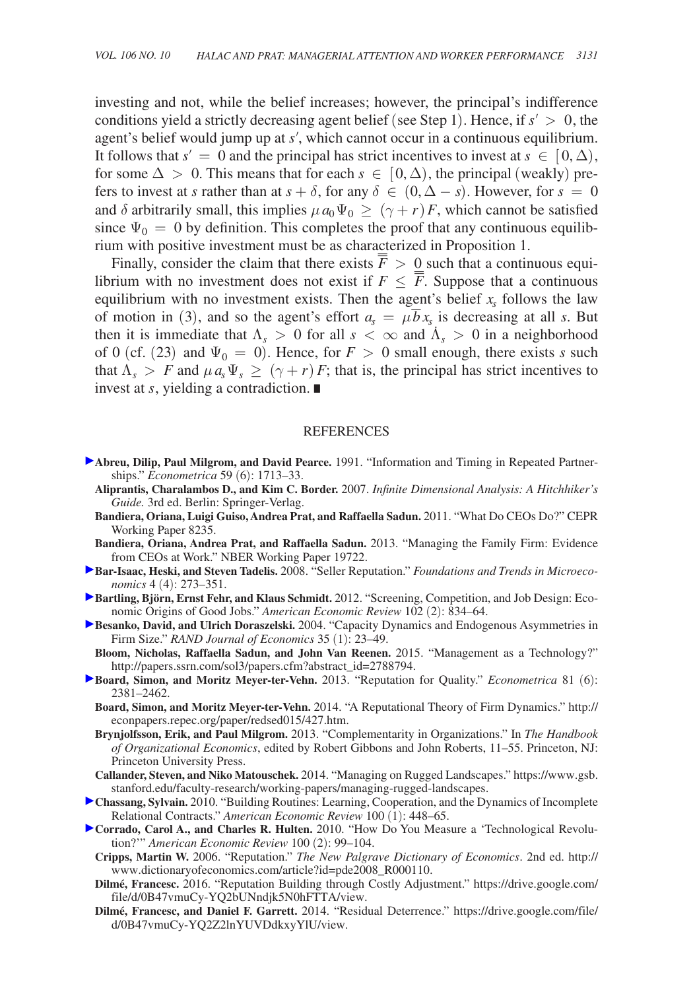investing and not, while the belief increases; however, the principal's indifference conditions yield a strictly decreasing agent belief (see Step 1). Hence, if  $s' > 0$ , the agent's belief would jump up at *s*′, which cannot occur in a continuous equilibrium. It follows that  $s' = 0$  and the principal has strict incentives to invest at  $s \in [0, \Delta)$ , for some  $\Delta > 0$ . This means that for each  $s \in [0, \Delta)$ , the principal (weakly) prefers to invest at *s* rather than at  $s + \delta$ , for any  $\delta \in (0, \Delta - s)$ . However, for  $s = 0$ and  $\delta$  arbitrarily small, this implies  $\mu a_0 \Psi_0 \geq (\gamma + r)F$ , which cannot be satisfied since  $\Psi_0 = 0$  by definition. This completes the proof that any continuous equilibrium with positive investment must be as characterized in Proposition 1.

Finally, consider the claim that there exists  $\overline{F} > 0$  such that a continuous equilibrium with no investment does not exist if  $F \leq \overline{F}$ . Suppose that a continuous equilibrium with no investment exists. Then the agent's belief  $x<sub>s</sub>$  follows the law of motion in (3), and so the agent's effort  $a_s = \mu \overline{b} x_s$  is decreasing at all *s*. But then it is immediate that  $\Lambda_s > 0$  for all  $s < \infty$  and  $\Lambda_s > 0$  in a neighborhood of 0 (cf. (23) and  $\Psi_0 = 0$ ). Hence, for  $F > 0$  small enough, there exists *s* such that  $\Lambda_s > F$  and  $\mu a_s \Psi_s \geq (\gamma + r)F$ ; that is, the principal has strict incentives to invest at *s*, yielding a contradiction. ∎

#### **REFERENCES**

- **Abreu, Dilip, Paul Milgrom, and David Pearce.** 1991. "Information and Timing in Repeated Partnerships." *Econometrica* 59 (6): 1713–33.
	- **Aliprantis, Charalambos D., and Kim C. Border.** 2007. *Infinite Dimensional Analysis: A Hitchhiker's Guide.* 3rd ed. Berlin: Springer-Verlag.
	- **Bandiera, Oriana, Luigi Guiso, Andrea Prat, and Raffaella Sadun.** 2011. "What Do CEOs Do?" CEPR Working Paper 8235.
	- **Bandiera, Oriana, Andrea Prat, and Raffaella Sadun.** 2013. "Managing the Family Firm: Evidence from CEOs at Work." NBER Working Paper 19722.
- **Bar-Isaac, Heski, and Steven Tadelis.** 2008. "Seller Reputation." *Foundations and Trends in Microeconomics* 4 (4): 273–351.
- **Bartling, Björn, Ernst Fehr, and Klaus Schmidt.** 2012. "Screening, Competition, and Job Design: Economic Origins of Good Jobs." *American Economic Review* 102 (2): 834–64.
- **Besanko, David, and Ulrich Doraszelski.** 2004. "Capacity Dynamics and Endogenous Asymmetries in Firm Size." *RAND Journal of Economics* 35 (1): 23–49.
- **Bloom, Nicholas, Raffaella Sadun, and John Van Reenen.** 2015. "Management as a Technology?" http://papers.ssrn.com/sol3/papers.cfm?abstract\_id=2788794.
- **Board, Simon, and Moritz Meyer-ter-Vehn.** 2013. "Reputation for Quality." *Econometrica* 81 (6): 2381–2462.
	- **Board, Simon, and Moritz Meyer-ter-Vehn.** 2014. "A Reputational Theory of Firm Dynamics." http:// econpapers.repec.org/paper/redsed015/427.htm.
	- **Brynjolfsson, Erik, and Paul Milgrom.** 2013. "Complementarity in Organizations." In *The Handbook of Organizational Economics*, edited by Robert Gibbons and John Roberts, 11–55. Princeton, NJ: Princeton University Press.
- **Callander, Steven, and Niko Matouschek.** 2014. "Managing on Rugged Landscapes." https://www.gsb. [stanford.edu/faculty-research/working-papers/managing-rugged-landscapes.](https://www.gsb.stanford.edu/faculty-research/working-papers/managing-rugged-landscapes)
- **Chassang, Sylvain.** 2010. "Building Routines: Learning, Cooperation, and the Dynamics of Incomplete Relational Contracts." *American Economic Review* 100 (1): 448–65.
- **Corrado, Carol A., and Charles R. Hulten.** 2010. "How Do You Measure a 'Technological Revolution?'" *American Economic Review* 100 (2): 99–104.
	- **Cripps, Martin W.** 2006. "Reputation." *The New Palgrave Dictionary of Economics*. 2nd ed. http:// www.dictionaryofeconomics.com/article?id=pde2008\_R000110.
	- **Dilmé, Francesc.** [2016. "Reputation Building through Costly Adjustment." https://drive.google.com/](https://drive.google.com/file/d/0B47vmuCy-YQ2bUNndjk5N0hFTTA/view) file/d/0B47vmuCy-YQ2bUNndjk5N0hFTTA/view.
	- **Dilmé, Francesc, and Daniel F. Garrett.** [2014. "Residual Deterrence." https://drive.google.com/file/](https://drive.google.com/file/d/0B47vmuCy-YQ2Z2lnYUVDdkxyYlU/view) d/0B47vmuCy-YQ2Z2lnYUVDdkxyYlU/view.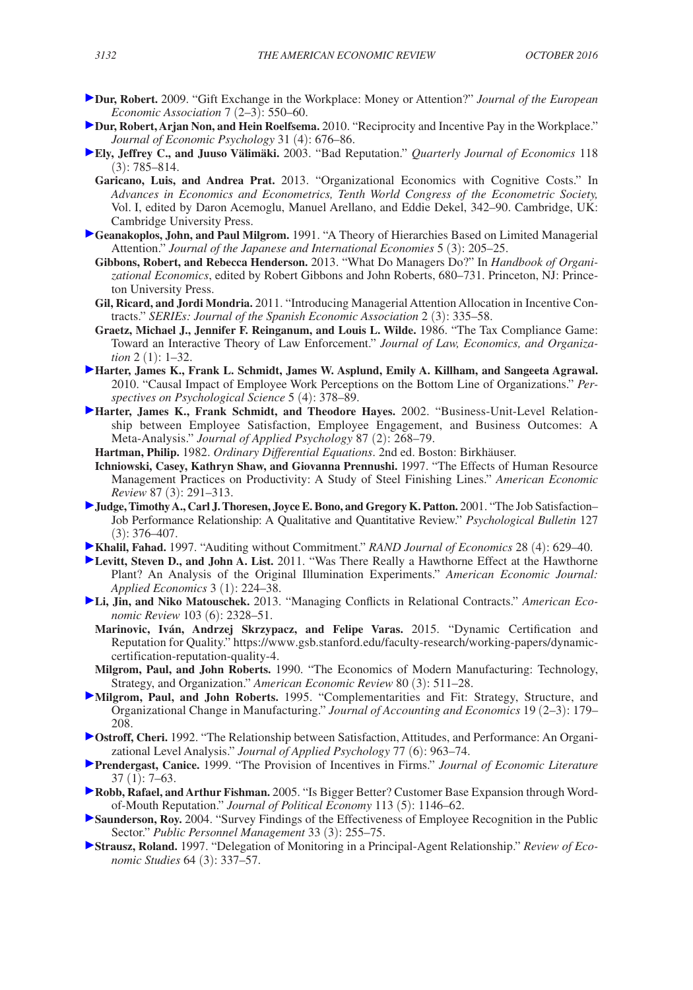- **Dur, Robert.** 2009. "Gift Exchange in the Workplace: Money or Attention?" *Journal of the European Economic Association* 7 (2–3): 550–60.
- **Dur, Robert, Arjan Non, and Hein Roelfsema.** 2010. "Reciprocity and Incentive Pay in the Workplace." *Journal of Economic Psychology* 31 (4): 676–86.
- **Ely, Jeffrey C., and Juuso Välimäki.** 2003. "Bad Reputation." *Quarterly Journal of Economics* 118 (3): 785–814.
- **Garicano, Luis, and Andrea Prat.** 2013. "Organizational Economics with Cognitive Costs." In *Advances in Economics and Econometrics, Tenth World Congress of the Econometric Society,*  Vol. I, edited by Daron Acemoglu, Manuel Arellano, and Eddie Dekel, 342–90. Cambridge, UK: Cambridge University Press.
- **Geanakoplos, John, and Paul Milgrom.** 1991. "A Theory of Hierarchies Based on Limited Managerial Attention." *Journal of the Japanese and International Economies* 5 (3): 205–25.
	- **Gibbons, Robert, and Rebecca Henderson.** 2013. "What Do Managers Do?" In *Handbook of Organizational Economics*, edited by Robert Gibbons and John Roberts, 680–731. Princeton, NJ: Princeton University Press.
	- **Gil, Ricard, and Jordi Mondria.** 2011. "Introducing Managerial Attention Allocation in Incentive Contracts." *SERIEs: Journal of the Spanish Economic Association* 2 (3): 335–58.
	- **Graetz, Michael J., Jennifer F. Reinganum, and Louis L. Wilde.** 1986. "The Tax Compliance Game: Toward an Interactive Theory of Law Enforcement." *Journal of Law, Economics, and Organization* 2 (1): 1–32.
- **Harter, James K., Frank L. Schmidt, James W. Asplund, Emily A. Killham, and Sangeeta Agrawal.**  2010. "Causal Impact of Employee Work Perceptions on the Bottom Line of Organizations." *Perspectives on Psychological Science* 5 (4): 378–89.
- **Harter, James K., Frank Schmidt, and Theodore Hayes.** 2002. "Business-Unit-Level Relationship between Employee Satisfaction, Employee Engagement, and Business Outcomes: A Meta-Analysis." *Journal of Applied Psychology* 87 (2): 268–79.
- **Hartman, Philip.** 1982. *Ordinary Differential Equations*. 2nd ed. Boston: Birkhäuser.
- **Ichniowski, Casey, Kathryn Shaw, and Giovanna Prennushi.** 1997. "The Effects of Human Resource Management Practices on Productivity: A Study of Steel Finishing Lines." *American Economic Review* 87 (3): 291–313.
- **Judge, Timothy A., Carl J. Thoresen, Joyce E. Bono, and Gregory K. Patton.** 2001. "The Job Satisfaction– Job Performance Relationship: A Qualitative and Quantitative Review." *Psychological Bulletin* 127 (3): 376–407.
- **Khalil, Fahad.** 1997. "Auditing without Commitment." *RAND Journal of Economics* 28 (4): 629–40.
- **Levitt, Steven D., and John A. List.** 2011. "Was There Really a Hawthorne Effect at the Hawthorne Plant? An Analysis of the Original Illumination Experiments." *American Economic Journal: Applied Economics* 3 (1): 224–38.
- **Li, Jin, and Niko Matouschek.** 2013. "Managing Conflicts in Relational Contracts." *American Economic Review* 103 (6): 2328–51.
	- **Marinovic, Iván, Andrzej Skrzypacz, and Felipe Varas.** 2015. "Dynamic Certification and Reputation for Quality." https://www.gsb.stanford.edu/faculty-research/working-papers/dynamiccertification-reputation-quality-4.
	- **Milgrom, Paul, and John Roberts.** 1990. "The Economics of Modern Manufacturing: Technology, Strategy, and Organization." *American Economic Review* 80 (3): 511–28.
- **Milgrom, Paul, and John Roberts.** 1995. "Complementarities and Fit: Strategy, Structure, and Organizational Change in Manufacturing." *Journal of Accounting and Economics* 19 (2–3): 179– 208.
- **Ostroff, Cheri.** 1992. "The Relationship between Satisfaction, Attitudes, and Performance: An Organizational Level Analysis." *Journal of Applied Psychology* 77 (6): 963–74.
- **Prendergast, Canice.** 1999. "The Provision of Incentives in Firms." *Journal of Economic Literature* 37 (1): 7–63.
- **Robb, Rafael, and Arthur Fishman.** 2005. "Is Bigger Better? Customer Base Expansion through Wordof-Mouth Reputation." *Journal of Political Economy* 113 (5): 1146–62.
- **Saunderson, Roy.** 2004. "Survey Findings of the Effectiveness of Employee Recognition in the Public Sector." *Public Personnel Management* 33 (3): 255–75.
- **Strausz, Roland.** 1997. "Delegation of Monitoring in a Principal-Agent Relationship." *Review of Economic Studies* 64 (3): 337–57.